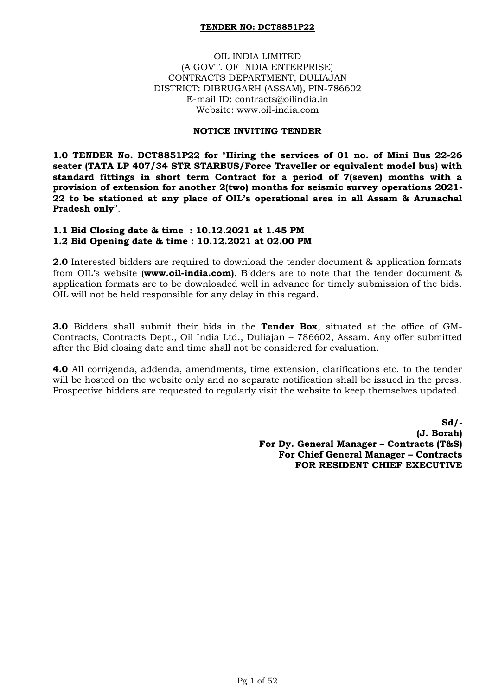### OIL INDIA LIMITED (A GOVT. OF INDIA ENTERPRISE) CONTRACTS DEPARTMENT, DULIAJAN DISTRICT: DIBRUGARH (ASSAM), PIN-786602 E-mail ID: contracts@oilindia.in Website: www.oil-india.com

### **NOTICE INVITING TENDER**

**1.0 TENDER No. DCT8851P22 for** "**Hiring the services of 01 no. of Mini Bus 22-26 seater (TATA LP 407/34 STR STARBUS/Force Traveller or equivalent model bus) with standard fittings in short term Contract for a period of 7(seven) months with a provision of extension for another 2(two) months for seismic survey operations 2021- 22 to be stationed at any place of OIL's operational area in all Assam & Arunachal Pradesh only**".

#### **1.1 Bid Closing date & time : 10.12.2021 at 1.45 PM 1.2 Bid Opening date & time : 10.12.2021 at 02.00 PM**

**2.0** Interested bidders are required to download the tender document & application formats from OIL"s website (**www.oil-india.com)**. Bidders are to note that the tender document & application formats are to be downloaded well in advance for timely submission of the bids. OIL will not be held responsible for any delay in this regard.

**3.0** Bidders shall submit their bids in the **Tender Box**, situated at the office of GM-Contracts, Contracts Dept., Oil India Ltd., Duliajan – 786602, Assam. Any offer submitted after the Bid closing date and time shall not be considered for evaluation.

**4.0** All corrigenda, addenda, amendments, time extension, clarifications etc. to the tender will be hosted on the website only and no separate notification shall be issued in the press. Prospective bidders are requested to regularly visit the website to keep themselves updated.

> **Sd/- (J. Borah) For Dy. General Manager – Contracts (T&S) For Chief General Manager – Contracts FOR RESIDENT CHIEF EXECUTIVE**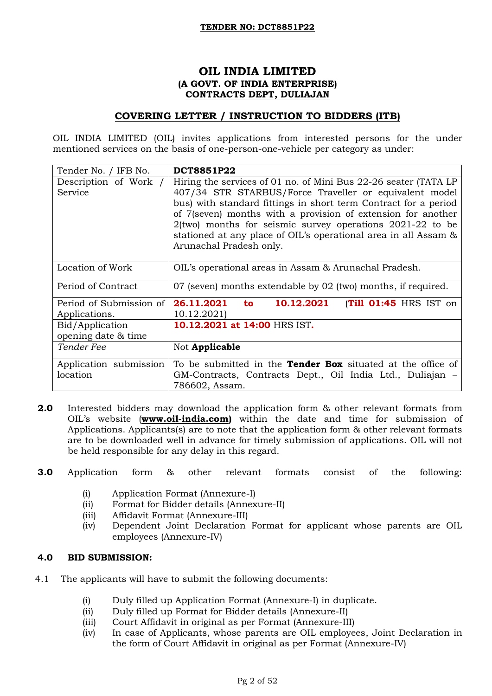### **OIL INDIA LIMITED (A GOVT. OF INDIA ENTERPRISE) CONTRACTS DEPT, DULIAJAN**

### **COVERING LETTER / INSTRUCTION TO BIDDERS (ITB)**

OIL INDIA LIMITED (OIL) invites applications from interested persons for the under mentioned services on the basis of one-person-one-vehicle per category as under:

| Tender No. / IFB No.                                        | <b>DCT8851P22</b>                                                                                                                                                                                                                                                                                                                                                                                                            |
|-------------------------------------------------------------|------------------------------------------------------------------------------------------------------------------------------------------------------------------------------------------------------------------------------------------------------------------------------------------------------------------------------------------------------------------------------------------------------------------------------|
| Description of Work /<br>Service                            | Hiring the services of 01 no. of Mini Bus 22-26 seater (TATA LP<br>407/34 STR STARBUS/Force Traveller or equivalent model<br>bus) with standard fittings in short term Contract for a period<br>of 7(seven) months with a provision of extension for another<br>$2$ (two) months for seismic survey operations $2021-22$ to be<br>stationed at any place of OIL's operational area in all Assam &<br>Arunachal Pradesh only. |
| Location of Work                                            | OIL's operational areas in Assam & Arunachal Pradesh.                                                                                                                                                                                                                                                                                                                                                                        |
| Period of Contract                                          | 07 (seven) months extendable by 02 (two) months, if required.                                                                                                                                                                                                                                                                                                                                                                |
| Period of Submission of<br>Applications.<br>Bid/Application | 26.11.2021<br>10.12.2021<br>(Till 01:45 HRS IST on<br>to<br>10.12.2021)<br>10.12.2021 at 14:00 HRS IST.                                                                                                                                                                                                                                                                                                                      |
| opening date & time<br>Tender Fee                           | Not Applicable                                                                                                                                                                                                                                                                                                                                                                                                               |
| Application submission<br>location                          | To be submitted in the <b>Tender Box</b> situated at the office of<br>GM-Contracts, Contracts Dept., Oil India Ltd., Duliajan –<br>786602, Assam.                                                                                                                                                                                                                                                                            |

- **2.0** Interested bidders may download the application form & other relevant formats from OIL"s website (**[www.oil-india.com\)](http://www.oil-india.com/)** within the date and time for submission of Applications. Applicants(s) are to note that the application form & other relevant formats are to be downloaded well in advance for timely submission of applications. OIL will not be held responsible for any delay in this regard.
- **3.0** Application form & other relevant formats consist of the following:
	- (i) Application Format (Annexure-I)
	- (ii) Format for Bidder details (Annexure-II)
	- (iii) Affidavit Format (Annexure-III)
	- (iv) Dependent Joint Declaration Format for applicant whose parents are OIL employees (Annexure-IV)

### **4.0 BID SUBMISSION:**

- 4.1 The applicants will have to submit the following documents:
	- (i) Duly filled up Application Format (Annexure-I) in duplicate.
	- (ii) Duly filled up Format for Bidder details (Annexure-II)
	- (iii) Court Affidavit in original as per Format (Annexure-III)
	- (iv) In case of Applicants, whose parents are OIL employees, Joint Declaration in the form of Court Affidavit in original as per Format (Annexure-IV)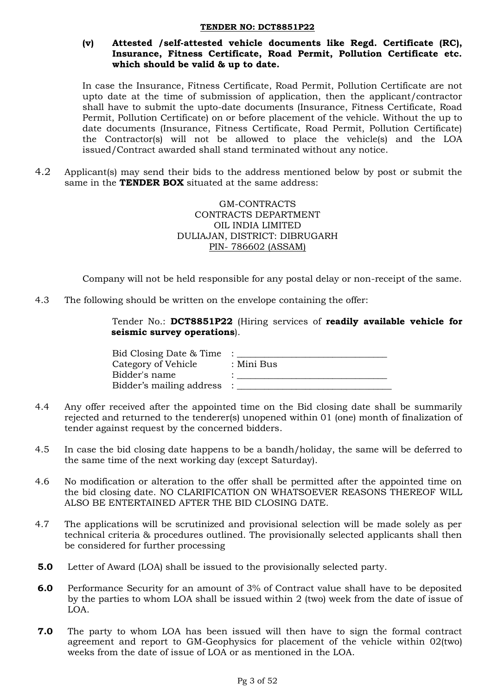## **(v) Attested /self-attested vehicle documents like Regd. Certificate (RC), Insurance, Fitness Certificate, Road Permit, Pollution Certificate etc. which should be valid & up to date.**

In case the Insurance, Fitness Certificate, Road Permit, Pollution Certificate are not upto date at the time of submission of application, then the applicant/contractor shall have to submit the upto-date documents (Insurance, Fitness Certificate, Road Permit, Pollution Certificate) on or before placement of the vehicle. Without the up to date documents (Insurance, Fitness Certificate, Road Permit, Pollution Certificate) the Contractor(s) will not be allowed to place the vehicle(s) and the LOA issued/Contract awarded shall stand terminated without any notice.

4.2 Applicant(s) may send their bids to the address mentioned below by post or submit the same in the **TENDER BOX** situated at the same address:

> GM-CONTRACTS CONTRACTS DEPARTMENT OIL INDIA LIMITED DULIAJAN, DISTRICT: DIBRUGARH PIN- 786602 (ASSAM)

Company will not be held responsible for any postal delay or non-receipt of the same.

4.3 The following should be written on the envelope containing the offer:

Tender No.: **DCT8851P22** (Hiring services of **readily available vehicle for seismic survey operations**).

| Bid Closing Date & Time  |            |
|--------------------------|------------|
| Category of Vehicle      | : Mini Bus |
| Bidder's name            |            |
| Bidder's mailing address |            |

- 4.4 Any offer received after the appointed time on the Bid closing date shall be summarily rejected and returned to the tenderer(s) unopened within 01 (one) month of finalization of tender against request by the concerned bidders.
- 4.5 In case the bid closing date happens to be a bandh/holiday, the same will be deferred to the same time of the next working day (except Saturday).
- 4.6 No modification or alteration to the offer shall be permitted after the appointed time on the bid closing date. NO CLARIFICATION ON WHATSOEVER REASONS THEREOF WILL ALSO BE ENTERTAINED AFTER THE BID CLOSING DATE.
- 4.7 The applications will be scrutinized and provisional selection will be made solely as per technical criteria & procedures outlined. The provisionally selected applicants shall then be considered for further processing
- **5.0** Letter of Award (LOA) shall be issued to the provisionally selected party.
- **6.0** Performance Security for an amount of 3% of Contract value shall have to be deposited by the parties to whom LOA shall be issued within 2 (two) week from the date of issue of LOA.
- **7.0** The party to whom LOA has been issued will then have to sign the formal contract agreement and report to GM-Geophysics for placement of the vehicle within 02(two) weeks from the date of issue of LOA or as mentioned in the LOA.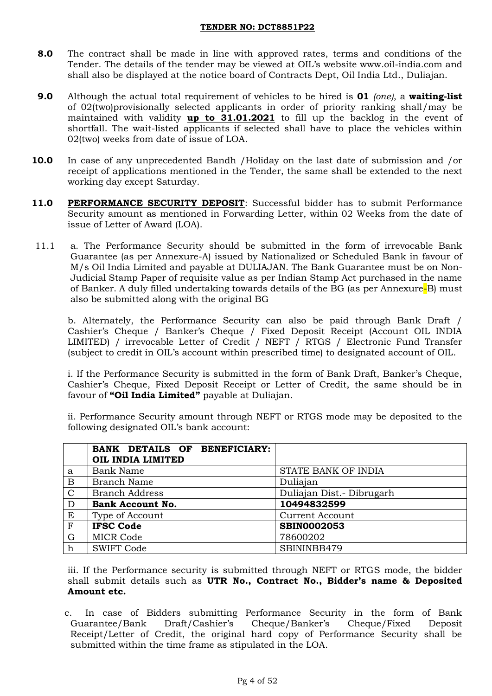- **8.0** The contract shall be made in line with approved rates, terms and conditions of the Tender. The details of the tender may be viewed at OIL"s website www.oil-india.com and shall also be displayed at the notice board of Contracts Dept, Oil India Ltd., Duliajan.
- **9.0** Although the actual total requirement of vehicles to be hired is **01** *(one)*, a **waiting-list** of 02(two)provisionally selected applicants in order of priority ranking shall/may be maintained with validity **up to 31.01.2021** to fill up the backlog in the event of shortfall. The wait-listed applicants if selected shall have to place the vehicles within 02(two) weeks from date of issue of LOA.
- **10.0** In case of any unprecedented Bandh /Holiday on the last date of submission and /or receipt of applications mentioned in the Tender, the same shall be extended to the next working day except Saturday.
- 11.0 **PERFORMANCE SECURITY DEPOSIT:** Successful bidder has to submit Performance Security amount as mentioned in Forwarding Letter, within 02 Weeks from the date of issue of Letter of Award (LOA).
- 11.1 a. The Performance Security should be submitted in the form of irrevocable Bank Guarantee (as per Annexure-A) issued by Nationalized or Scheduled Bank in favour of M/s Oil India Limited and payable at DULIAJAN. The Bank Guarantee must be on Non-Judicial Stamp Paper of requisite value as per Indian Stamp Act purchased in the name of Banker. A duly filled undertaking towards details of the BG (as per Annexure-B) must also be submitted along with the original BG

b. Alternately, the Performance Security can also be paid through Bank Draft / Cashier"s Cheque / Banker"s Cheque / Fixed Deposit Receipt (Account OIL INDIA LIMITED) / irrevocable Letter of Credit / NEFT / RTGS / Electronic Fund Transfer (subject to credit in OIL"s account within prescribed time) to designated account of OIL.

i. If the Performance Security is submitted in the form of Bank Draft, Banker"s Cheque, Cashier"s Cheque, Fixed Deposit Receipt or Letter of Credit, the same should be in favour of **"Oil India Limited"** payable at Duliajan.

ii. Performance Security amount through NEFT or RTGS mode may be deposited to the following designated OIL"s bank account:

|                | BANK DETAILS OF BENEFICIARY: |                           |
|----------------|------------------------------|---------------------------|
|                | OIL INDIA LIMITED            |                           |
| a              | <b>Bank Name</b>             | STATE BANK OF INDIA       |
| $\mathbf B$    | <b>Branch Name</b>           | Duliajan                  |
| $\overline{C}$ | <b>Branch Address</b>        | Duliajan Dist.- Dibrugarh |
| D              | <b>Bank Account No.</b>      | 10494832599               |
| E              | Type of Account              | <b>Current Account</b>    |
| $\overline{F}$ | <b>IFSC Code</b>             | <b>SBIN0002053</b>        |
| G              | <b>MICR Code</b>             | 78600202                  |
| $\mathbf h$    | <b>SWIFT Code</b>            | SBININBB479               |

iii. If the Performance security is submitted through NEFT or RTGS mode, the bidder shall submit details such as **UTR No., Contract No., Bidder's name & Deposited Amount etc.** 

c. In case of Bidders submitting Performance Security in the form of Bank Guarantee/Bank Draft/Cashier"s Cheque/Banker"s Cheque/Fixed Deposit Receipt/Letter of Credit, the original hard copy of Performance Security shall be submitted within the time frame as stipulated in the LOA.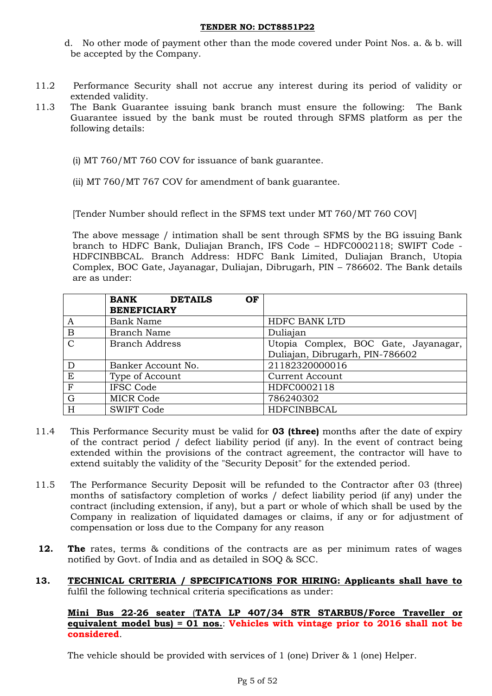- d. No other mode of payment other than the mode covered under Point Nos. a. & b. will be accepted by the Company.
- 11.2 Performance Security shall not accrue any interest during its period of validity or extended validity.
- 11.3 The Bank Guarantee issuing bank branch must ensure the following: The Bank Guarantee issued by the bank must be routed through SFMS platform as per the following details:
	- (i) MT 760/MT 760 COV for issuance of bank guarantee.
	- (ii) MT 760/MT 767 COV for amendment of bank guarantee.

[Tender Number should reflect in the SFMS text under MT 760/MT 760 COV]

The above message / intimation shall be sent through SFMS by the BG issuing Bank branch to HDFC Bank, Duliajan Branch, IFS Code – HDFC0002118; SWIFT Code - HDFCINBBCAL. Branch Address: HDFC Bank Limited, Duliajan Branch, Utopia Complex, BOC Gate, Jayanagar, Duliajan, Dibrugarh, PIN – 786602. The Bank details are as under:

|               | <b>BANK</b><br><b>DETAILS</b><br>OF<br><b>BENEFICIARY</b> |                                                                         |
|---------------|-----------------------------------------------------------|-------------------------------------------------------------------------|
| A             | <b>Bank Name</b>                                          | <b>HDFC BANK LTD</b>                                                    |
| B             | <b>Branch Name</b>                                        | Duliajan                                                                |
| $\mathcal{C}$ | <b>Branch Address</b>                                     | Utopia Complex, BOC Gate, Jayanagar,<br>Duliajan, Dibrugarh, PIN-786602 |
|               | Banker Account No.                                        | 21182320000016                                                          |
| E             | Type of Account                                           | <b>Current Account</b>                                                  |
| $\mathbf{F}$  | <b>IFSC Code</b>                                          | HDFC0002118                                                             |
| $\rm G$       | <b>MICR Code</b>                                          | 786240302                                                               |
| H             | <b>SWIFT Code</b>                                         | HDFCINBBCAL                                                             |

- 11.4 This Performance Security must be valid for **03 (three)** months after the date of expiry of the contract period / defect liability period (if any). In the event of contract being extended within the provisions of the contract agreement, the contractor will have to extend suitably the validity of the "Security Deposit" for the extended period.
- 11.5 The Performance Security Deposit will be refunded to the Contractor after 03 (three) months of satisfactory completion of works / defect liability period (if any) under the contract (including extension, if any), but a part or whole of which shall be used by the Company in realization of liquidated damages or claims, if any or for adjustment of compensation or loss due to the Company for any reason
- **12.** The rates, terms & conditions of the contracts are as per minimum rates of wages notified by Govt. of India and as detailed in SOQ & SCC.
- **13. TECHNICAL CRITERIA / SPECIFICATIONS FOR HIRING: Applicants shall have to** fulfil the following technical criteria specifications as under:

### **Mini Bus 22-26 seater** (**TATA LP 407/34 STR STARBUS/Force Traveller or equivalent model bus) = 01 nos.**: **Vehicles with vintage prior to 2016 shall not be considered**.

The vehicle should be provided with services of 1 (one) Driver & 1 (one) Helper.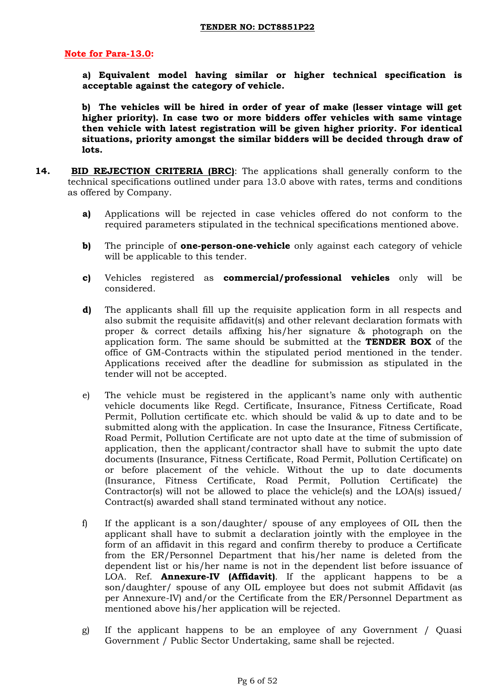### **Note for Para-13.0:**

**a) Equivalent model having similar or higher technical specification is acceptable against the category of vehicle.**

**b) The vehicles will be hired in order of year of make (lesser vintage will get higher priority). In case two or more bidders offer vehicles with same vintage then vehicle with latest registration will be given higher priority. For identical situations, priority amongst the similar bidders will be decided through draw of lots.** 

- **14. BID REJECTION CRITERIA (BRC)**: The applications shall generally conform to the technical specifications outlined under para 13.0 above with rates, terms and conditions as offered by Company.
	- **a)** Applications will be rejected in case vehicles offered do not conform to the required parameters stipulated in the technical specifications mentioned above.
	- **b)** The principle of **one-person-one-vehicle** only against each category of vehicle will be applicable to this tender.
	- **c)** Vehicles registered as **commercial/professional vehicles** only will be considered.
	- **d)** The applicants shall fill up the requisite application form in all respects and also submit the requisite affidavit(s) and other relevant declaration formats with proper & correct details affixing his/her signature & photograph on the application form. The same should be submitted at the **TENDER BOX** of the office of GM-Contracts within the stipulated period mentioned in the tender. Applications received after the deadline for submission as stipulated in the tender will not be accepted.
	- e) The vehicle must be registered in the applicant's name only with authentic vehicle documents like Regd. Certificate, Insurance, Fitness Certificate, Road Permit, Pollution certificate etc. which should be valid & up to date and to be submitted along with the application. In case the Insurance, Fitness Certificate, Road Permit, Pollution Certificate are not upto date at the time of submission of application, then the applicant/contractor shall have to submit the upto date documents (Insurance, Fitness Certificate, Road Permit, Pollution Certificate) on or before placement of the vehicle. Without the up to date documents (Insurance, Fitness Certificate, Road Permit, Pollution Certificate) the Contractor(s) will not be allowed to place the vehicle(s) and the LOA(s) issued/ Contract(s) awarded shall stand terminated without any notice.
	- f) If the applicant is a son/daughter/ spouse of any employees of OIL then the applicant shall have to submit a declaration jointly with the employee in the form of an affidavit in this regard and confirm thereby to produce a Certificate from the ER/Personnel Department that his/her name is deleted from the dependent list or his/her name is not in the dependent list before issuance of LOA. Ref. **Annexure-IV (Affidavit)**. If the applicant happens to be a son/daughter/ spouse of any OIL employee but does not submit Affidavit (as per Annexure-IV) and/or the Certificate from the ER/Personnel Department as mentioned above his/her application will be rejected.
	- g) If the applicant happens to be an employee of any Government / Quasi Government / Public Sector Undertaking, same shall be rejected.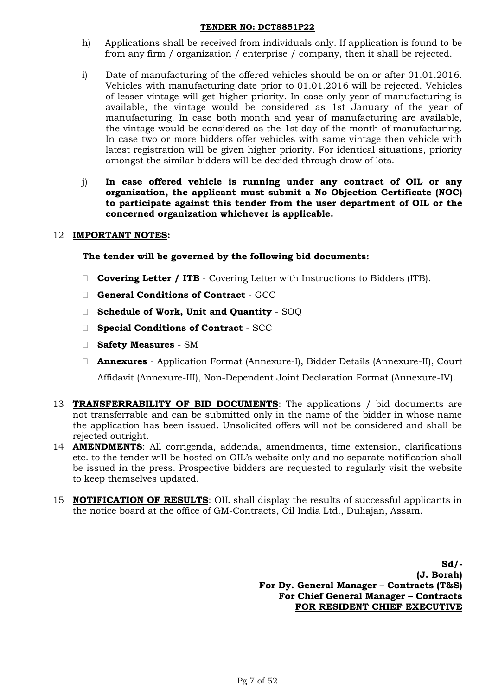- h) Applications shall be received from individuals only. If application is found to be from any firm / organization / enterprise / company, then it shall be rejected.
- i) Date of manufacturing of the offered vehicles should be on or after 01.01.2016. Vehicles with manufacturing date prior to 01.01.2016 will be rejected. Vehicles of lesser vintage will get higher priority. In case only year of manufacturing is available, the vintage would be considered as 1st January of the year of manufacturing. In case both month and year of manufacturing are available, the vintage would be considered as the 1st day of the month of manufacturing. In case two or more bidders offer vehicles with same vintage then vehicle with latest registration will be given higher priority. For identical situations, priority amongst the similar bidders will be decided through draw of lots.
- j) **In case offered vehicle is running under any contract of OIL or any organization, the applicant must submit a No Objection Certificate (NOC) to participate against this tender from the user department of OIL or the concerned organization whichever is applicable.**

## 12 **IMPORTANT NOTES:**

## **The tender will be governed by the following bid documents:**

- **Covering Letter / ITB** Covering Letter with Instructions to Bidders (ITB).
- **General Conditions of Contract** GCC
- **Schedule of Work, Unit and Quantity** SOQ
- **Special Conditions of Contract** SCC
- **Safety Measures**  SM
- **Annexures** Application Format (Annexure-I), Bidder Details (Annexure-II), Court Affidavit (Annexure-III), Non-Dependent Joint Declaration Format (Annexure-IV).
- 13 **TRANSFERRABILITY OF BID DOCUMENTS**: The applications / bid documents are not transferrable and can be submitted only in the name of the bidder in whose name the application has been issued. Unsolicited offers will not be considered and shall be rejected outright.
- 14 **AMENDMENTS**: All corrigenda, addenda, amendments, time extension, clarifications etc. to the tender will be hosted on OIL"s website only and no separate notification shall be issued in the press. Prospective bidders are requested to regularly visit the website to keep themselves updated.
- 15 **NOTIFICATION OF RESULTS**: OIL shall display the results of successful applicants in the notice board at the office of GM-Contracts, Oil India Ltd., Duliajan, Assam.

**Sd/- (J. Borah) For Dy. General Manager – Contracts (T&S) For Chief General Manager – Contracts FOR RESIDENT CHIEF EXECUTIVE**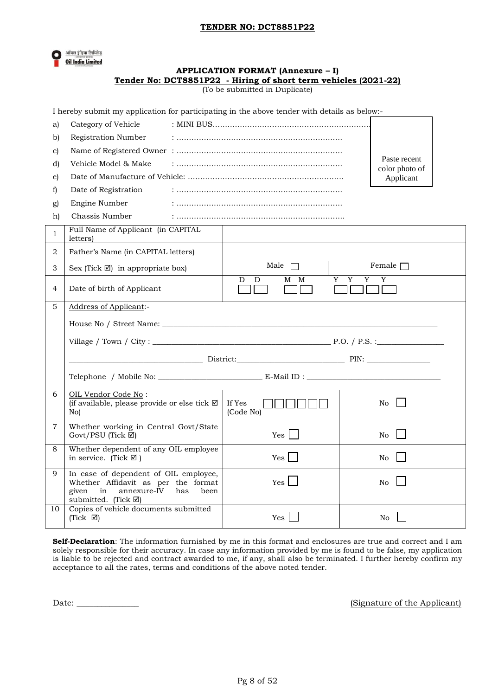

# **APPLICATION FORMAT (Annexure – I) Tender No: DCT8851P22 - Hiring of short term vehicles (2021-22)**

(To be submitted in Duplicate)

|  | I hereby submit my application for participating in the above tender with details as below:- |  |  |  |
|--|----------------------------------------------------------------------------------------------|--|--|--|
|  |                                                                                              |  |  |  |

| a)             | Category of Vehicle                                                                                                                      |                     |             |             |                                |  |
|----------------|------------------------------------------------------------------------------------------------------------------------------------------|---------------------|-------------|-------------|--------------------------------|--|
| b)             | Registration Number                                                                                                                      |                     |             |             |                                |  |
| c)             |                                                                                                                                          |                     |             |             |                                |  |
| d)             | Vehicle Model & Make                                                                                                                     |                     |             |             | Paste recent<br>color photo of |  |
| e)             |                                                                                                                                          |                     |             |             | Applicant                      |  |
| f)             | Date of Registration                                                                                                                     |                     |             |             |                                |  |
| g)             | Engine Number                                                                                                                            |                     |             |             |                                |  |
| h)             | Chassis Number                                                                                                                           |                     |             |             |                                |  |
| 1              | Full Name of Applicant (in CAPITAL<br>letters)                                                                                           |                     |             |             |                                |  |
| 2              | Father's Name (in CAPITAL letters)                                                                                                       |                     |             |             |                                |  |
| 3              | Sex (Tick $\boxtimes$ ) in appropriate box)                                                                                              |                     | Male $\Box$ |             | Female $\Box$                  |  |
| 4              | Date of birth of Applicant                                                                                                               | D                   | M M<br>D    | Y<br>Y<br>Y | $\overline{Y}$                 |  |
| 5              | Address of Applicant:-                                                                                                                   |                     |             |             |                                |  |
|                |                                                                                                                                          |                     |             |             |                                |  |
|                |                                                                                                                                          |                     |             |             |                                |  |
|                |                                                                                                                                          |                     |             |             |                                |  |
|                |                                                                                                                                          |                     |             |             |                                |  |
|                |                                                                                                                                          |                     |             |             |                                |  |
| 6              | OIL Vendor Code No:<br>(if available, please provide or else tick $\boxtimes$<br>No)                                                     | If Yes<br>(Code No) |             |             | No                             |  |
| $\overline{7}$ | Whether working in Central Govt/State<br>Govt/PSU (Tick ⊠)                                                                               |                     | Yes         |             | No.                            |  |
| 8              | Whether dependent of any OIL employee<br>in service. (Tick $\boxtimes$ )                                                                 |                     | Yes         |             | No                             |  |
| 9              | In case of dependent of OIL employee,<br>Whether Affidavit as per the format<br>given<br>in<br>annexure-IV<br>has<br>submitted. (Tick ⊠) | been                | Yes         |             | No                             |  |

**Self-Declaration**: The information furnished by me in this format and enclosures are true and correct and I am solely responsible for their accuracy. In case any information provided by me is found to be false, my application is liable to be rejected and contract awarded to me, if any, shall also be terminated. I further hereby confirm my acceptance to all the rates, terms and conditions of the above noted tender.

Date:  $\Box$  (Signature of the Applicant)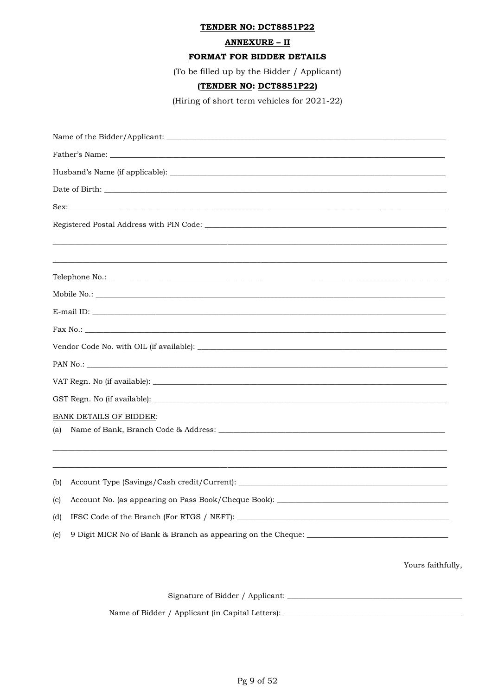#### **ANNEXURE - II**

#### FORMAT FOR BIDDER DETAILS

(To be filled up by the Bidder / Applicant)

#### (TENDER NO: DCT8851P22)

(Hiring of short term vehicles for 2021-22)

|     | Mobile No.:                                                                       |
|-----|-----------------------------------------------------------------------------------|
|     |                                                                                   |
|     |                                                                                   |
|     |                                                                                   |
|     |                                                                                   |
|     |                                                                                   |
|     |                                                                                   |
|     | <b>BANK DETAILS OF BIDDER:</b>                                                    |
| (a) |                                                                                   |
|     |                                                                                   |
| (b) |                                                                                   |
|     | (c) Account No. (as appearing on Pass Book/Cheque Book): ________                 |
| (d) |                                                                                   |
| (e) | 9 Digit MICR No of Bank & Branch as appearing on the Cheque: ____________________ |
|     | Yours faithfully,                                                                 |
|     |                                                                                   |

Name of Bidder / Applicant (in Capital Letters): \_\_\_\_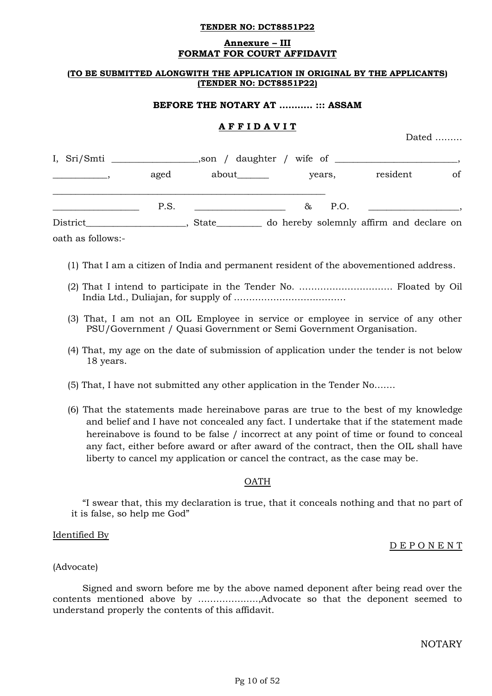#### **Annexure – III FORMAT FOR COURT AFFIDAVIT**

#### **(TO BE SUBMITTED ALONGWITH THE APPLICATION IN ORIGINAL BY THE APPLICANTS) (TENDER NO: DCT8851P22)**

#### **BEFORE THE NOTARY AT ……….. ::: ASSAM**

### **A F F I D A V I T**

Dated ………

| I, Sri/Smti |      | $\Box$ , son / daughter / wife of $\Box$ |    |        |                                          |    |
|-------------|------|------------------------------------------|----|--------|------------------------------------------|----|
|             | aged | about_______                             |    | years, | resident                                 | of |
|             | P.S. |                                          | 8. | P.O.   |                                          |    |
| District    |      | <b>State</b>                             |    |        | do hereby solemnly affirm and declare on |    |

oath as follows:-

- (1) That I am a citizen of India and permanent resident of the abovementioned address.
- (2) That I intend to participate in the Tender No. …………………………. Floated by Oil India Ltd., Duliajan, for supply of ……………………………….
- (3) That, I am not an OIL Employee in service or employee in service of any other PSU/Government / Quasi Government or Semi Government Organisation.
- (4) That, my age on the date of submission of application under the tender is not below 18 years.
- (5) That, I have not submitted any other application in the Tender No…….
- (6) That the statements made hereinabove paras are true to the best of my knowledge and belief and I have not concealed any fact. I undertake that if the statement made hereinabove is found to be false / incorrect at any point of time or found to conceal any fact, either before award or after award of the contract, then the OIL shall have liberty to cancel my application or cancel the contract, as the case may be.

#### **OATH**

"I swear that, this my declaration is true, that it conceals nothing and that no part of it is false, so help me God"

#### Identified By

D E P O N E N T

#### (Advocate)

Signed and sworn before me by the above named deponent after being read over the contents mentioned above by ………………..,Advocate so that the deponent seemed to understand properly the contents of this affidavit.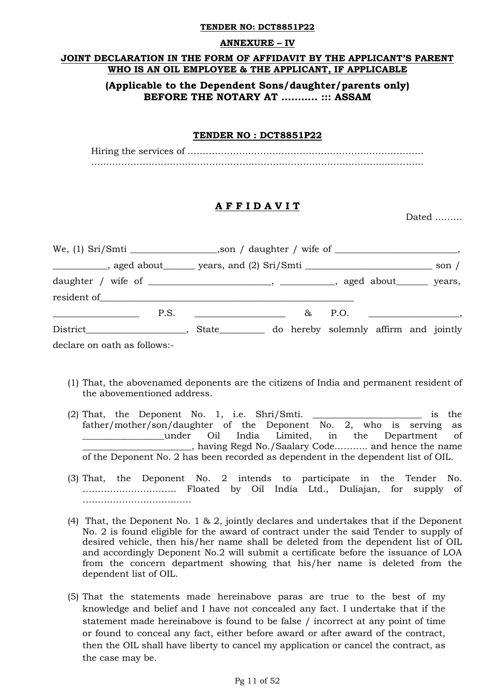#### **ANNEXURE – IV**

### **JOINT DECLARATION IN THE FORM OF AFFIDAVIT BY THE APPLICANT'S PARENT WHO IS AN OIL EMPLOYEE & THE APPLICANT, IF APPLICABLE**

## **(Applicable to the Dependent Sons/daughter/parents only) BEFORE THE NOTARY AT ……….. ::: ASSAM**

#### **TENDER NO : DCT8851P22**

Hiring the services of …………………………………………………………………… …..………………………………………………………………………………...…………

### **A F F I D A V I T**

Dated ………

|                                                                                                                               | _____________, aged about________ years, and (2) Sri/Smti ____________________________ son / |  |
|-------------------------------------------------------------------------------------------------------------------------------|----------------------------------------------------------------------------------------------|--|
|                                                                                                                               |                                                                                              |  |
| P.S.<br><u> 1999 - Johann Harry Harry Harry Harry Harry Harry Harry Harry Harry Harry Harry Harry Harry Harry Harry Harry</u> | $\&$ P.O. $\qquad \qquad$                                                                    |  |
|                                                                                                                               | State____________ do hereby solemnly affirm and jointly                                      |  |
| declare on oath as follows:-                                                                                                  |                                                                                              |  |

- (1) That, the abovenamed deponents are the citizens of India and permanent resident of the abovementioned address.
- (2) That, the Deponent No. 1, i.e. Shri/Smti. \_\_\_\_\_\_\_\_\_\_\_\_\_\_\_\_\_\_\_\_\_\_\_\_ is the father/mother/son/daughter of the Deponent No. 2, who is serving as \_\_\_\_\_\_\_\_\_\_\_\_\_\_\_\_\_\_under Oil India Limited, in the Department of \_\_\_\_\_\_\_\_\_\_\_\_\_\_\_\_\_\_\_\_\_\_\_\_, having Regd No./Saalary Code……….. and hence the name of the Deponent No. 2 has been recorded as dependent in the dependent list of OIL.
- (3) That, the Deponent No. 2 intends to participate in the Tender No. …………………………. Floated by Oil India Ltd., Duliajan, for supply of ………………………………
- (4) That, the Deponent No. 1 & 2, jointly declares and undertakes that if the Deponent No. 2 is found eligible for the award of contract under the said Tender to supply of desired vehicle, then his/her name shall be deleted from the dependent list of OIL and accordingly Deponent No.2 will submit a certificate before the issuance of LOA from the concern department showing that his/her name is deleted from the dependent list of OIL.
- (5) That the statements made hereinabove paras are true to the best of my knowledge and belief and I have not concealed any fact. I undertake that if the statement made hereinabove is found to be false / incorrect at any point of time or found to conceal any fact, either before award or after award of the contract, then the OIL shall have liberty to cancel my application or cancel the contract, as the case may be.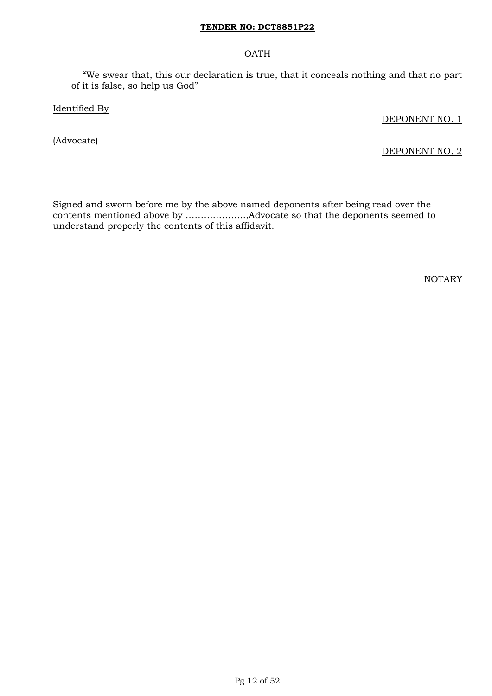### OATH

"We swear that, this our declaration is true, that it conceals nothing and that no part of it is false, so help us God"

Identified By

DEPONENT NO. 1

(Advocate)

DEPONENT NO. 2

Signed and sworn before me by the above named deponents after being read over the contents mentioned above by ………………..,Advocate so that the deponents seemed to understand properly the contents of this affidavit.

NOTARY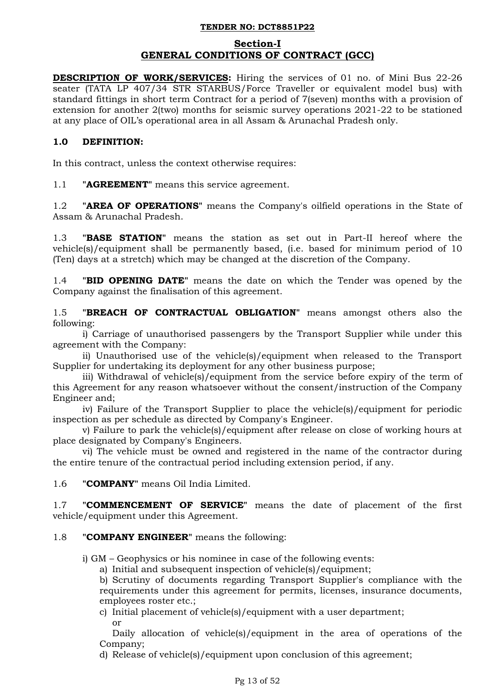### **Section-I GENERAL CONDITIONS OF CONTRACT (GCC)**

**DESCRIPTION OF WORK/SERVICES:** Hiring the services of 01 no. of Mini Bus 22-26 seater (TATA LP 407/34 STR STARBUS/Force Traveller or equivalent model bus) with standard fittings in short term Contract for a period of 7(seven) months with a provision of extension for another 2(two) months for seismic survey operations 2021-22 to be stationed at any place of OIL"s operational area in all Assam & Arunachal Pradesh only.

## **1.0 DEFINITION:**

In this contract, unless the context otherwise requires:

1.1 **"AGREEMENT"** means this service agreement.

1.2 **"AREA OF OPERATIONS"** means the Company's oilfield operations in the State of Assam & Arunachal Pradesh.

1.3 **"BASE STATION"** means the station as set out in Part-II hereof where the vehicle(s)/equipment shall be permanently based, (i.e. based for minimum period of 10 (Ten) days at a stretch) which may be changed at the discretion of the Company.

1.4 **"BID OPENING DATE"** means the date on which the Tender was opened by the Company against the finalisation of this agreement.

1.5 **"BREACH OF CONTRACTUAL OBLIGATION"** means amongst others also the following:

i) Carriage of unauthorised passengers by the Transport Supplier while under this agreement with the Company:

ii) Unauthorised use of the vehicle(s)/equipment when released to the Transport Supplier for undertaking its deployment for any other business purpose;

iii) Withdrawal of vehicle(s)/equipment from the service before expiry of the term of this Agreement for any reason whatsoever without the consent/instruction of the Company Engineer and;

iv) Failure of the Transport Supplier to place the vehicle(s)/equipment for periodic inspection as per schedule as directed by Company's Engineer.

v) Failure to park the vehicle(s)/equipment after release on close of working hours at place designated by Company's Engineers.

vi) The vehicle must be owned and registered in the name of the contractor during the entire tenure of the contractual period including extension period, if any.

1.6 **"COMPANY"** means Oil India Limited.

1.7 **"COMMENCEMENT OF SERVICE"** means the date of placement of the first vehicle/equipment under this Agreement.

## 1.8 **"COMPANY ENGINEER"** means the following:

i) GM – Geophysics or his nominee in case of the following events:

a) Initial and subsequent inspection of vehicle(s)/equipment;

b) Scrutiny of documents regarding Transport Supplier's compliance with the requirements under this agreement for permits, licenses, insurance documents, employees roster etc.;

c) Initial placement of vehicle(s)/equipment with a user department; or

Daily allocation of vehicle(s)/equipment in the area of operations of the Company;

d) Release of vehicle(s)/equipment upon conclusion of this agreement;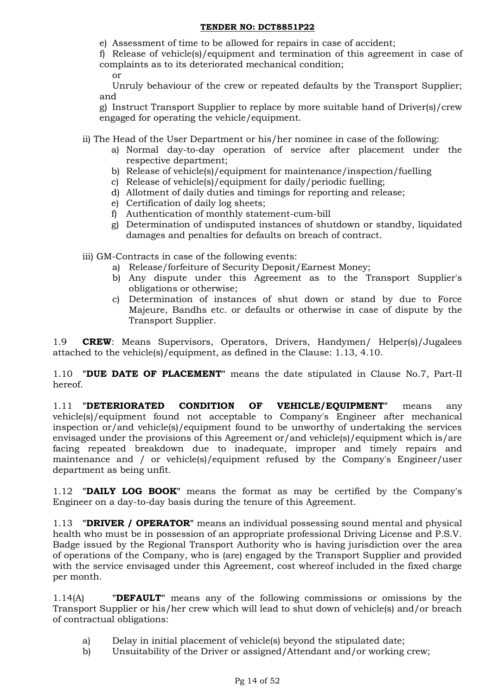- e) Assessment of time to be allowed for repairs in case of accident;
- f) Release of vehicle(s)/equipment and termination of this agreement in case of complaints as to its deteriorated mechanical condition; or

Unruly behaviour of the crew or repeated defaults by the Transport Supplier; and

g) Instruct Transport Supplier to replace by more suitable hand of Driver(s)/crew engaged for operating the vehicle/equipment.

- ii) The Head of the User Department or his/her nominee in case of the following:
	- a) Normal day-to-day operation of service after placement under the respective department;
	- b) Release of vehicle(s)/equipment for maintenance/inspection/fuelling
	- c) Release of vehicle(s)/equipment for daily/periodic fuelling;
	- d) Allotment of daily duties and timings for reporting and release;
	- e) Certification of daily log sheets;
	- f) Authentication of monthly statement-cum-bill
	- g) Determination of undisputed instances of shutdown or standby, liquidated damages and penalties for defaults on breach of contract.

iii) GM-Contracts in case of the following events:

- a) Release/forfeiture of Security Deposit/Earnest Money;
- b) Any dispute under this Agreement as to the Transport Supplier's obligations or otherwise;
- c) Determination of instances of shut down or stand by due to Force Majeure, Bandhs etc. or defaults or otherwise in case of dispute by the Transport Supplier.

1.9 **CREW**: Means Supervisors, Operators, Drivers, Handymen/ Helper(s)/Jugalees attached to the vehicle(s)/equipment, as defined in the Clause: 1.13, 4.10.

1.10 **"DUE DATE OF PLACEMENT"** means the date stipulated in Clause No.7, Part-II hereof.

1.11 **"DETERIORATED CONDITION OF VEHICLE/EQUIPMENT"** means any vehicle(s)/equipment found not acceptable to Company's Engineer after mechanical inspection or/and vehicle(s)/equipment found to be unworthy of undertaking the services envisaged under the provisions of this Agreement or/and vehicle(s)/equipment which is/are facing repeated breakdown due to inadequate, improper and timely repairs and maintenance and / or vehicle(s)/equipment refused by the Company's Engineer/user department as being unfit.

1.12 **"DAILY LOG BOOK"** means the format as may be certified by the Company's Engineer on a day-to-day basis during the tenure of this Agreement.

1.13 **"DRIVER / OPERATOR"** means an individual possessing sound mental and physical health who must be in possession of an appropriate professional Driving License and P.S.V. Badge issued by the Regional Transport Authority who is having jurisdiction over the area of operations of the Company, who is (are) engaged by the Transport Supplier and provided with the service envisaged under this Agreement, cost whereof included in the fixed charge per month.

1.14(A) **"DEFAULT"** means any of the following commissions or omissions by the Transport Supplier or his/her crew which will lead to shut down of vehicle(s) and/or breach of contractual obligations:

- a) Delay in initial placement of vehicle(s) beyond the stipulated date;
- b) Unsuitability of the Driver or assigned/Attendant and/or working crew;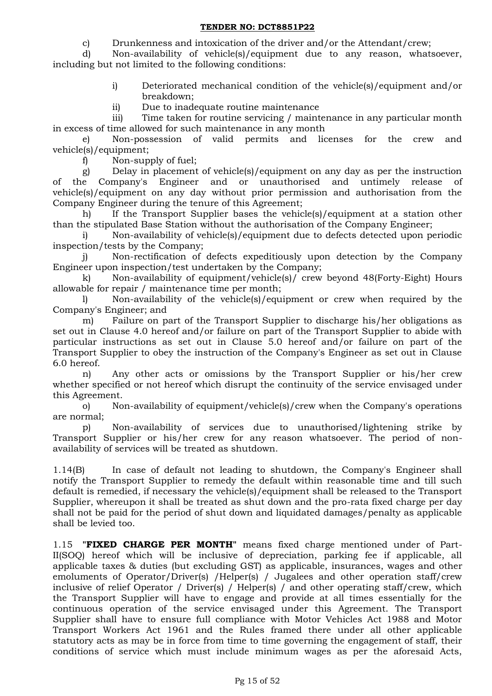c) Drunkenness and intoxication of the driver and/or the Attendant/crew;

d) Non-availability of vehicle(s)/equipment due to any reason, whatsoever, including but not limited to the following conditions:

- i) Deteriorated mechanical condition of the vehicle(s)/equipment and/or breakdown;
- ii) Due to inadequate routine maintenance

iii) Time taken for routine servicing / maintenance in any particular month in excess of time allowed for such maintenance in any month

e) Non-possession of valid permits and licenses for the crew and vehicle(s)/equipment;

f) Non-supply of fuel;

g) Delay in placement of vehicle(s)/equipment on any day as per the instruction of the Company's Engineer and or unauthorised and untimely release of vehicle(s)/equipment on any day without prior permission and authorisation from the Company Engineer during the tenure of this Agreement;

h) If the Transport Supplier bases the vehicle(s)/equipment at a station other than the stipulated Base Station without the authorisation of the Company Engineer;

i) Non-availability of vehicle(s)/equipment due to defects detected upon periodic inspection/tests by the Company;

j) Non-rectification of defects expeditiously upon detection by the Company Engineer upon inspection/test undertaken by the Company;

k) Non-availability of equipment/vehicle(s)/ crew beyond 48(Forty-Eight) Hours allowable for repair / maintenance time per month;

l) Non-availability of the vehicle(s)/equipment or crew when required by the Company's Engineer; and

m) Failure on part of the Transport Supplier to discharge his/her obligations as set out in Clause 4.0 hereof and/or failure on part of the Transport Supplier to abide with particular instructions as set out in Clause 5.0 hereof and/or failure on part of the Transport Supplier to obey the instruction of the Company's Engineer as set out in Clause 6.0 hereof.

n) Any other acts or omissions by the Transport Supplier or his/her crew whether specified or not hereof which disrupt the continuity of the service envisaged under this Agreement.

o) Non-availability of equipment/vehicle(s)/crew when the Company's operations are normal;

p) Non-availability of services due to unauthorised/lightening strike by Transport Supplier or his/her crew for any reason whatsoever. The period of nonavailability of services will be treated as shutdown.

1.14(B) In case of default not leading to shutdown, the Company's Engineer shall notify the Transport Supplier to remedy the default within reasonable time and till such default is remedied, if necessary the vehicle(s)/equipment shall be released to the Transport Supplier, whereupon it shall be treated as shut down and the pro-rata fixed charge per day shall not be paid for the period of shut down and liquidated damages/penalty as applicable shall be levied too.

1.15 **"FIXED CHARGE PER MONTH"** means fixed charge mentioned under of Part-II(SOQ) hereof which will be inclusive of depreciation, parking fee if applicable, all applicable taxes & duties (but excluding GST) as applicable, insurances, wages and other emoluments of Operator/Driver(s) / Helper(s) / Jugalees and other operation staff/crew inclusive of relief Operator / Driver(s) / Helper(s) / and other operating staff/crew, which the Transport Supplier will have to engage and provide at all times essentially for the continuous operation of the service envisaged under this Agreement. The Transport Supplier shall have to ensure full compliance with Motor Vehicles Act 1988 and Motor Transport Workers Act 1961 and the Rules framed there under all other applicable statutory acts as may be in force from time to time governing the engagement of staff, their conditions of service which must include minimum wages as per the aforesaid Acts,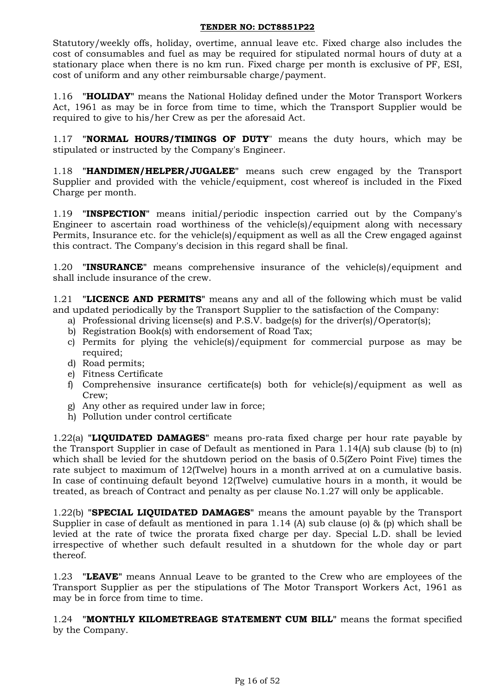Statutory/weekly offs, holiday, overtime, annual leave etc. Fixed charge also includes the cost of consumables and fuel as may be required for stipulated normal hours of duty at a stationary place when there is no km run. Fixed charge per month is exclusive of PF, ESI, cost of uniform and any other reimbursable charge/payment.

1.16 **"HOLIDAY"** means the National Holiday defined under the Motor Transport Workers Act, 1961 as may be in force from time to time, which the Transport Supplier would be required to give to his/her Crew as per the aforesaid Act.

1.17 **"NORMAL HOURS/TIMINGS OF DUTY**" means the duty hours, which may be stipulated or instructed by the Company's Engineer.

1.18 **"HANDIMEN/HELPER/JUGALEE"** means such crew engaged by the Transport Supplier and provided with the vehicle/equipment, cost whereof is included in the Fixed Charge per month.

1.19 **"INSPECTION"** means initial/periodic inspection carried out by the Company's Engineer to ascertain road worthiness of the vehicle(s)/equipment along with necessary Permits, Insurance etc. for the vehicle(s)/equipment as well as all the Crew engaged against this contract. The Company's decision in this regard shall be final.

1.20 **"INSURANCE"** means comprehensive insurance of the vehicle(s)/equipment and shall include insurance of the crew.

1.21 **"LICENCE AND PERMITS"** means any and all of the following which must be valid and updated periodically by the Transport Supplier to the satisfaction of the Company:

- a) Professional driving license(s) and P.S.V. badge(s) for the driver(s)/Operator(s);
- b) Registration Book(s) with endorsement of Road Tax;
- c) Permits for plying the vehicle(s)/equipment for commercial purpose as may be required;
- d) Road permits;
- e) Fitness Certificate
- f) Comprehensive insurance certificate(s) both for vehicle(s)/equipment as well as Crew;
- g) Any other as required under law in force;
- h) Pollution under control certificate

1.22(a) **"LIQUIDATED DAMAGES"** means pro-rata fixed charge per hour rate payable by the Transport Supplier in case of Default as mentioned in Para 1.14(A) sub clause (b) to (n) which shall be levied for the shutdown period on the basis of 0.5(Zero Point Five) times the rate subject to maximum of 12(Twelve) hours in a month arrived at on a cumulative basis. In case of continuing default beyond 12(Twelve) cumulative hours in a month, it would be treated, as breach of Contract and penalty as per clause No.1.27 will only be applicable.

1.22(b) **"SPECIAL LIQUIDATED DAMAGES"** means the amount payable by the Transport Supplier in case of default as mentioned in para 1.14 (A) sub clause (o) & (p) which shall be levied at the rate of twice the prorata fixed charge per day. Special L.D. shall be levied irrespective of whether such default resulted in a shutdown for the whole day or part thereof.

1.23 **"LEAVE"** means Annual Leave to be granted to the Crew who are employees of the Transport Supplier as per the stipulations of The Motor Transport Workers Act, 1961 as may be in force from time to time.

1.24 **"MONTHLY KILOMETREAGE STATEMENT CUM BILL"** means the format specified by the Company.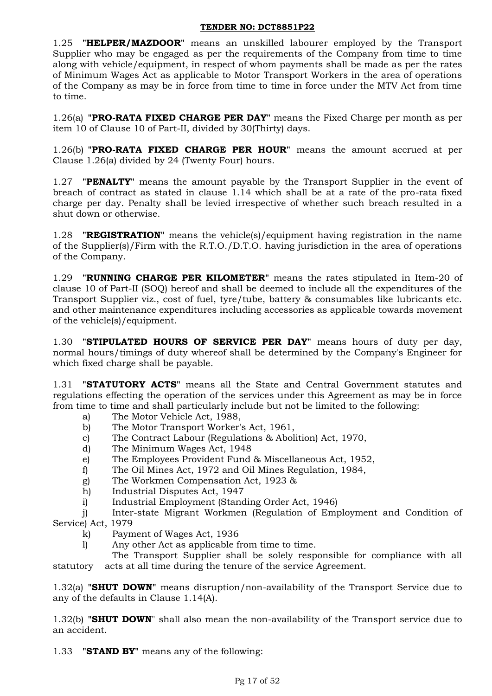1.25 **"HELPER/MAZDOOR"** means an unskilled labourer employed by the Transport Supplier who may be engaged as per the requirements of the Company from time to time along with vehicle/equipment, in respect of whom payments shall be made as per the rates of Minimum Wages Act as applicable to Motor Transport Workers in the area of operations of the Company as may be in force from time to time in force under the MTV Act from time to time.

1.26(a) **"PRO-RATA FIXED CHARGE PER DAY"** means the Fixed Charge per month as per item 10 of Clause 10 of Part-II, divided by 30(Thirty) days.

1.26(b) **"PRO-RATA FIXED CHARGE PER HOUR"** means the amount accrued at per Clause 1.26(a) divided by 24 (Twenty Four) hours.

1.27 **"PENALTY"** means the amount payable by the Transport Supplier in the event of breach of contract as stated in clause 1.14 which shall be at a rate of the pro-rata fixed charge per day. Penalty shall be levied irrespective of whether such breach resulted in a shut down or otherwise.

1.28 **"REGISTRATION"** means the vehicle(s)/equipment having registration in the name of the Supplier(s)/Firm with the R.T.O./D.T.O. having jurisdiction in the area of operations of the Company.

1.29 **"RUNNING CHARGE PER KILOMETER"** means the rates stipulated in Item-20 of clause 10 of Part-II (SOQ) hereof and shall be deemed to include all the expenditures of the Transport Supplier viz., cost of fuel, tyre/tube, battery & consumables like lubricants etc. and other maintenance expenditures including accessories as applicable towards movement of the vehicle(s)/equipment.

1.30 **"STIPULATED HOURS OF SERVICE PER DAY"** means hours of duty per day, normal hours/timings of duty whereof shall be determined by the Company's Engineer for which fixed charge shall be payable.

1.31 **"STATUTORY ACTS"** means all the State and Central Government statutes and regulations effecting the operation of the services under this Agreement as may be in force from time to time and shall particularly include but not be limited to the following:

- a) The Motor Vehicle Act, 1988,
- b) The Motor Transport Worker's Act, 1961,
- c) The Contract Labour (Regulations & Abolition) Act, 1970,
- d) The Minimum Wages Act, 1948
- e) The Employees Provident Fund & Miscellaneous Act, 1952,
- f) The Oil Mines Act, 1972 and Oil Mines Regulation, 1984,
- g) The Workmen Compensation Act, 1923 &
- h) Industrial Disputes Act, 1947
- i) Industrial Employment (Standing Order Act, 1946)

j) Inter-state Migrant Workmen (Regulation of Employment and Condition of Service) Act, 1979

- k) Payment of Wages Act, 1936
- l) Any other Act as applicable from time to time.

The Transport Supplier shall be solely responsible for compliance with all statutory acts at all time during the tenure of the service Agreement.

1.32(a) **"SHUT DOWN"** means disruption/non-availability of the Transport Service due to any of the defaults in Clause 1.14(A).

1.32(b) **"SHUT DOWN**" shall also mean the non-availability of the Transport service due to an accident.

1.33 **"STAND BY"** means any of the following: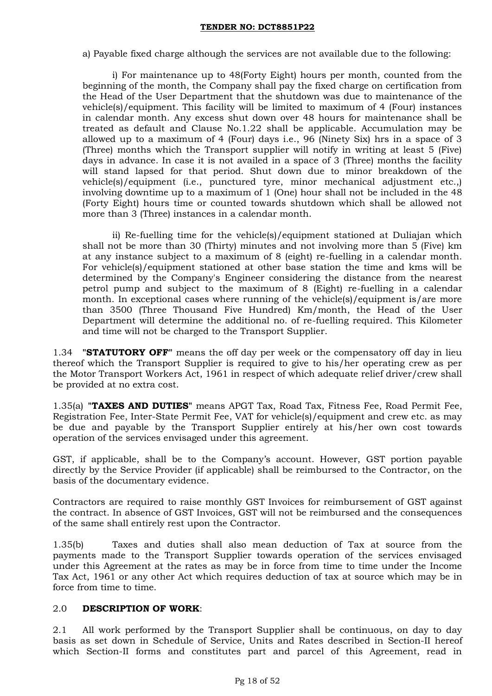a) Payable fixed charge although the services are not available due to the following:

i) For maintenance up to 48(Forty Eight) hours per month, counted from the beginning of the month, the Company shall pay the fixed charge on certification from the Head of the User Department that the shutdown was due to maintenance of the vehicle(s)/equipment. This facility will be limited to maximum of 4 (Four) instances in calendar month. Any excess shut down over 48 hours for maintenance shall be treated as default and Clause No.1.22 shall be applicable. Accumulation may be allowed up to a maximum of 4 (Four) days i.e., 96 (Ninety Six) hrs in a space of 3 (Three) months which the Transport supplier will notify in writing at least 5 (Five) days in advance. In case it is not availed in a space of 3 (Three) months the facility will stand lapsed for that period. Shut down due to minor breakdown of the vehicle(s)/equipment (i.e., punctured tyre, minor mechanical adjustment etc.,) involving downtime up to a maximum of 1 (One) hour shall not be included in the 48 (Forty Eight) hours time or counted towards shutdown which shall be allowed not more than 3 (Three) instances in a calendar month.

ii) Re-fuelling time for the vehicle(s)/equipment stationed at Duliajan which shall not be more than 30 (Thirty) minutes and not involving more than 5 (Five) km at any instance subject to a maximum of 8 (eight) re-fuelling in a calendar month. For vehicle(s)/equipment stationed at other base station the time and kms will be determined by the Company's Engineer considering the distance from the nearest petrol pump and subject to the maximum of 8 (Eight) re-fuelling in a calendar month. In exceptional cases where running of the vehicle(s)/equipment is/are more than 3500 (Three Thousand Five Hundred) Km/month, the Head of the User Department will determine the additional no. of re-fuelling required. This Kilometer and time will not be charged to the Transport Supplier.

1.34 **"STATUTORY OFF"** means the off day per week or the compensatory off day in lieu thereof which the Transport Supplier is required to give to his/her operating crew as per the Motor Transport Workers Act, 1961 in respect of which adequate relief driver/crew shall be provided at no extra cost.

1.35(a) **"TAXES AND DUTIES"** means APGT Tax, Road Tax, Fitness Fee, Road Permit Fee, Registration Fee, Inter-State Permit Fee, VAT for vehicle(s)/equipment and crew etc. as may be due and payable by the Transport Supplier entirely at his/her own cost towards operation of the services envisaged under this agreement.

GST, if applicable, shall be to the Company"s account. However, GST portion payable directly by the Service Provider (if applicable) shall be reimbursed to the Contractor, on the basis of the documentary evidence.

Contractors are required to raise monthly GST Invoices for reimbursement of GST against the contract. In absence of GST Invoices, GST will not be reimbursed and the consequences of the same shall entirely rest upon the Contractor.

1.35(b) Taxes and duties shall also mean deduction of Tax at source from the payments made to the Transport Supplier towards operation of the services envisaged under this Agreement at the rates as may be in force from time to time under the Income Tax Act, 1961 or any other Act which requires deduction of tax at source which may be in force from time to time.

### 2.0 **DESCRIPTION OF WORK**:

2.1 All work performed by the Transport Supplier shall be continuous, on day to day basis as set down in Schedule of Service, Units and Rates described in Section-II hereof which Section-II forms and constitutes part and parcel of this Agreement, read in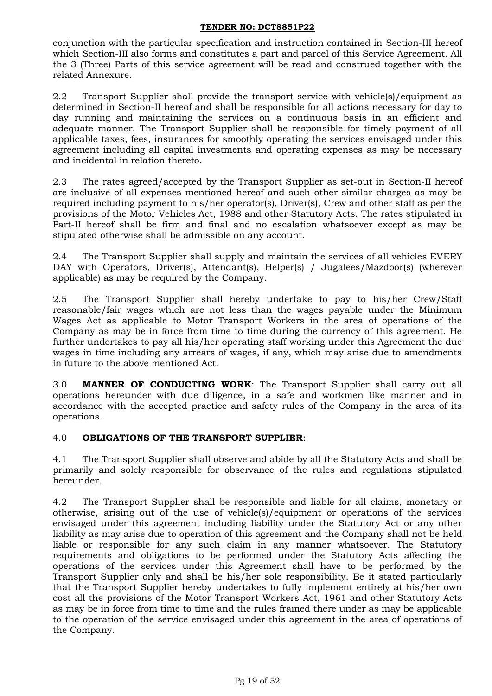conjunction with the particular specification and instruction contained in Section-III hereof which Section-III also forms and constitutes a part and parcel of this Service Agreement. All the 3 (Three) Parts of this service agreement will be read and construed together with the related Annexure.

2.2 Transport Supplier shall provide the transport service with vehicle(s)/equipment as determined in Section-II hereof and shall be responsible for all actions necessary for day to day running and maintaining the services on a continuous basis in an efficient and adequate manner. The Transport Supplier shall be responsible for timely payment of all applicable taxes, fees, insurances for smoothly operating the services envisaged under this agreement including all capital investments and operating expenses as may be necessary and incidental in relation thereto.

2.3 The rates agreed/accepted by the Transport Supplier as set-out in Section-II hereof are inclusive of all expenses mentioned hereof and such other similar charges as may be required including payment to his/her operator(s), Driver(s), Crew and other staff as per the provisions of the Motor Vehicles Act, 1988 and other Statutory Acts. The rates stipulated in Part-II hereof shall be firm and final and no escalation whatsoever except as may be stipulated otherwise shall be admissible on any account.

2.4 The Transport Supplier shall supply and maintain the services of all vehicles EVERY DAY with Operators, Driver(s), Attendant(s), Helper(s) / Jugalees/Mazdoor(s) (wherever applicable) as may be required by the Company.

2.5 The Transport Supplier shall hereby undertake to pay to his/her Crew/Staff reasonable/fair wages which are not less than the wages payable under the Minimum Wages Act as applicable to Motor Transport Workers in the area of operations of the Company as may be in force from time to time during the currency of this agreement. He further undertakes to pay all his/her operating staff working under this Agreement the due wages in time including any arrears of wages, if any, which may arise due to amendments in future to the above mentioned Act.

3.0 **MANNER OF CONDUCTING WORK**: The Transport Supplier shall carry out all operations hereunder with due diligence, in a safe and workmen like manner and in accordance with the accepted practice and safety rules of the Company in the area of its operations.

### 4.0 **OBLIGATIONS OF THE TRANSPORT SUPPLIER**:

4.1 The Transport Supplier shall observe and abide by all the Statutory Acts and shall be primarily and solely responsible for observance of the rules and regulations stipulated hereunder.

4.2 The Transport Supplier shall be responsible and liable for all claims, monetary or otherwise, arising out of the use of vehicle(s)/equipment or operations of the services envisaged under this agreement including liability under the Statutory Act or any other liability as may arise due to operation of this agreement and the Company shall not be held liable or responsible for any such claim in any manner whatsoever. The Statutory requirements and obligations to be performed under the Statutory Acts affecting the operations of the services under this Agreement shall have to be performed by the Transport Supplier only and shall be his/her sole responsibility. Be it stated particularly that the Transport Supplier hereby undertakes to fully implement entirely at his/her own cost all the provisions of the Motor Transport Workers Act, 1961 and other Statutory Acts as may be in force from time to time and the rules framed there under as may be applicable to the operation of the service envisaged under this agreement in the area of operations of the Company.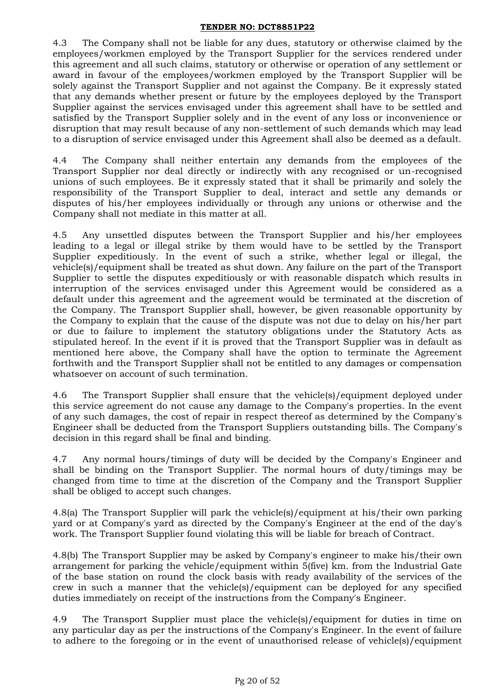4.3 The Company shall not be liable for any dues, statutory or otherwise claimed by the employees/workmen employed by the Transport Supplier for the services rendered under this agreement and all such claims, statutory or otherwise or operation of any settlement or award in favour of the employees/workmen employed by the Transport Supplier will be solely against the Transport Supplier and not against the Company. Be it expressly stated that any demands whether present or future by the employees deployed by the Transport Supplier against the services envisaged under this agreement shall have to be settled and satisfied by the Transport Supplier solely and in the event of any loss or inconvenience or disruption that may result because of any non-settlement of such demands which may lead to a disruption of service envisaged under this Agreement shall also be deemed as a default.

4.4 The Company shall neither entertain any demands from the employees of the Transport Supplier nor deal directly or indirectly with any recognised or un-recognised unions of such employees. Be it expressly stated that it shall be primarily and solely the responsibility of the Transport Supplier to deal, interact and settle any demands or disputes of his/her employees individually or through any unions or otherwise and the Company shall not mediate in this matter at all.

4.5 Any unsettled disputes between the Transport Supplier and his/her employees leading to a legal or illegal strike by them would have to be settled by the Transport Supplier expeditiously. In the event of such a strike, whether legal or illegal, the vehicle(s)/equipment shall be treated as shut down. Any failure on the part of the Transport Supplier to settle the disputes expeditiously or with reasonable dispatch which results in interruption of the services envisaged under this Agreement would be considered as a default under this agreement and the agreement would be terminated at the discretion of the Company. The Transport Supplier shall, however, be given reasonable opportunity by the Company to explain that the cause of the dispute was not due to delay on his/her part or due to failure to implement the statutory obligations under the Statutory Acts as stipulated hereof. In the event if it is proved that the Transport Supplier was in default as mentioned here above, the Company shall have the option to terminate the Agreement forthwith and the Transport Supplier shall not be entitled to any damages or compensation whatsoever on account of such termination.

4.6 The Transport Supplier shall ensure that the vehicle(s)/equipment deployed under this service agreement do not cause any damage to the Company's properties. In the event of any such damages, the cost of repair in respect thereof as determined by the Company's Engineer shall be deducted from the Transport Suppliers outstanding bills. The Company's decision in this regard shall be final and binding.

4.7 Any normal hours/timings of duty will be decided by the Company's Engineer and shall be binding on the Transport Supplier. The normal hours of duty/timings may be changed from time to time at the discretion of the Company and the Transport Supplier shall be obliged to accept such changes.

4.8(a) The Transport Supplier will park the vehicle(s)/equipment at his/their own parking yard or at Company's yard as directed by the Company's Engineer at the end of the day's work. The Transport Supplier found violating this will be liable for breach of Contract.

4.8(b) The Transport Supplier may be asked by Company's engineer to make his/their own arrangement for parking the vehicle/equipment within 5(five) km. from the Industrial Gate of the base station on round the clock basis with ready availability of the services of the crew in such a manner that the vehicle(s)/equipment can be deployed for any specified duties immediately on receipt of the instructions from the Company's Engineer.

4.9 The Transport Supplier must place the vehicle(s)/equipment for duties in time on any particular day as per the instructions of the Company's Engineer. In the event of failure to adhere to the foregoing or in the event of unauthorised release of vehicle(s)/equipment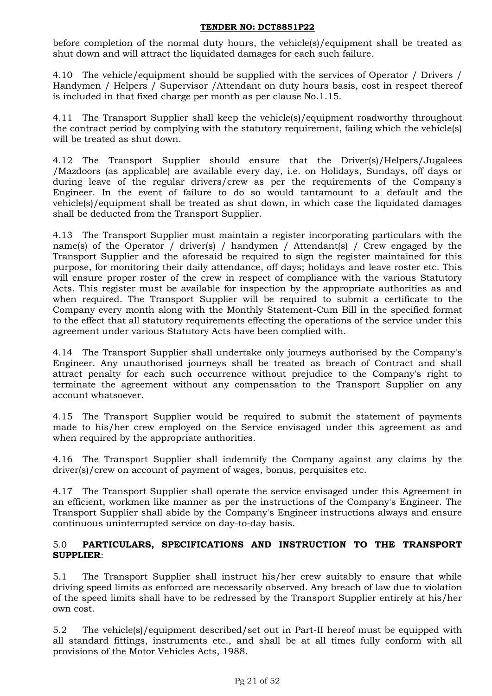before completion of the normal duty hours, the vehicle(s)/equipment shall be treated as shut down and will attract the liquidated damages for each such failure.

4.10 The vehicle/equipment should be supplied with the services of Operator / Drivers / Handymen / Helpers / Supervisor /Attendant on duty hours basis, cost in respect thereof is included in that fixed charge per month as per clause No.1.15.

4.11 The Transport Supplier shall keep the vehicle(s)/equipment roadworthy throughout the contract period by complying with the statutory requirement, failing which the vehicle(s) will be treated as shut down.

4.12 The Transport Supplier should ensure that the Driver(s)/Helpers/Jugalees /Mazdoors (as applicable) are available every day, i.e. on Holidays, Sundays, off days or during leave of the regular drivers/crew as per the requirements of the Company's Engineer. In the event of failure to do so would tantamount to a default and the vehicle(s)/equipment shall be treated as shut down, in which case the liquidated damages shall be deducted from the Transport Supplier.

4.13 The Transport Supplier must maintain a register incorporating particulars with the name(s) of the Operator / driver(s) / handymen / Attendant(s) / Crew engaged by the Transport Supplier and the aforesaid be required to sign the register maintained for this purpose, for monitoring their daily attendance, off days; holidays and leave roster etc. This will ensure proper roster of the crew in respect of compliance with the various Statutory Acts. This register must be available for inspection by the appropriate authorities as and when required. The Transport Supplier will be required to submit a certificate to the Company every month along with the Monthly Statement-Cum Bill in the specified format to the effect that all statutory requirements effecting the operations of the service under this agreement under various Statutory Acts have been complied with.

4.14 The Transport Supplier shall undertake only journeys authorised by the Company's Engineer. Any unauthorised journeys shall be treated as breach of Contract and shall attract penalty for each such occurrence without prejudice to the Company's right to terminate the agreement without any compensation to the Transport Supplier on any account whatsoever.

4.15 The Transport Supplier would be required to submit the statement of payments made to his/her crew employed on the Service envisaged under this agreement as and when required by the appropriate authorities.

4.16 The Transport Supplier shall indemnify the Company against any claims by the driver(s)/crew on account of payment of wages, bonus, perquisites etc.

4.17 The Transport Supplier shall operate the service envisaged under this Agreement in an efficient, workmen like manner as per the instructions of the Company's Engineer. The Transport Supplier shall abide by the Company's Engineer instructions always and ensure continuous uninterrupted service on day-to-day basis.

## 5.0 **PARTICULARS, SPECIFICATIONS AND INSTRUCTION TO THE TRANSPORT SUPPLIER**:

5.1 The Transport Supplier shall instruct his/her crew suitably to ensure that while driving speed limits as enforced are necessarily observed. Any breach of law due to violation of the speed limits shall have to be redressed by the Transport Supplier entirely at his/her own cost.

5.2 The vehicle(s)/equipment described/set out in Part-II hereof must be equipped with all standard fittings, instruments etc., and shall be at all times fully conform with all provisions of the Motor Vehicles Acts, 1988.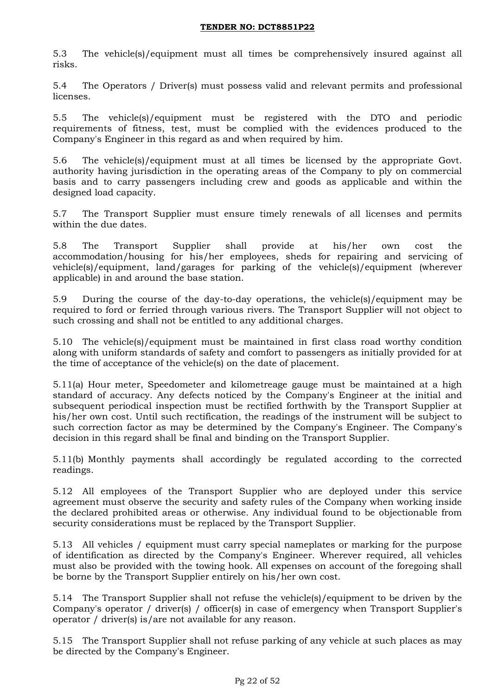5.3 The vehicle(s)/equipment must all times be comprehensively insured against all risks.

5.4 The Operators / Driver(s) must possess valid and relevant permits and professional licenses.

5.5 The vehicle(s)/equipment must be registered with the DTO and periodic requirements of fitness, test, must be complied with the evidences produced to the Company's Engineer in this regard as and when required by him.

5.6 The vehicle(s)/equipment must at all times be licensed by the appropriate Govt. authority having jurisdiction in the operating areas of the Company to ply on commercial basis and to carry passengers including crew and goods as applicable and within the designed load capacity.

5.7 The Transport Supplier must ensure timely renewals of all licenses and permits within the due dates.

5.8 The Transport Supplier shall provide at his/her own cost the accommodation/housing for his/her employees, sheds for repairing and servicing of vehicle(s)/equipment, land/garages for parking of the vehicle(s)/equipment (wherever applicable) in and around the base station.

5.9 During the course of the day-to-day operations, the vehicle(s)/equipment may be required to ford or ferried through various rivers. The Transport Supplier will not object to such crossing and shall not be entitled to any additional charges.

5.10 The vehicle(s)/equipment must be maintained in first class road worthy condition along with uniform standards of safety and comfort to passengers as initially provided for at the time of acceptance of the vehicle(s) on the date of placement.

5.11(a) Hour meter, Speedometer and kilometreage gauge must be maintained at a high standard of accuracy. Any defects noticed by the Company's Engineer at the initial and subsequent periodical inspection must be rectified forthwith by the Transport Supplier at his/her own cost. Until such rectification, the readings of the instrument will be subject to such correction factor as may be determined by the Company's Engineer. The Company's decision in this regard shall be final and binding on the Transport Supplier.

5.11(b) Monthly payments shall accordingly be regulated according to the corrected readings.

5.12 All employees of the Transport Supplier who are deployed under this service agreement must observe the security and safety rules of the Company when working inside the declared prohibited areas or otherwise. Any individual found to be objectionable from security considerations must be replaced by the Transport Supplier.

5.13 All vehicles / equipment must carry special nameplates or marking for the purpose of identification as directed by the Company's Engineer. Wherever required, all vehicles must also be provided with the towing hook. All expenses on account of the foregoing shall be borne by the Transport Supplier entirely on his/her own cost.

5.14 The Transport Supplier shall not refuse the vehicle(s)/equipment to be driven by the Company's operator / driver(s) / officer(s) in case of emergency when Transport Supplier's operator / driver(s) is/are not available for any reason.

5.15 The Transport Supplier shall not refuse parking of any vehicle at such places as may be directed by the Company's Engineer.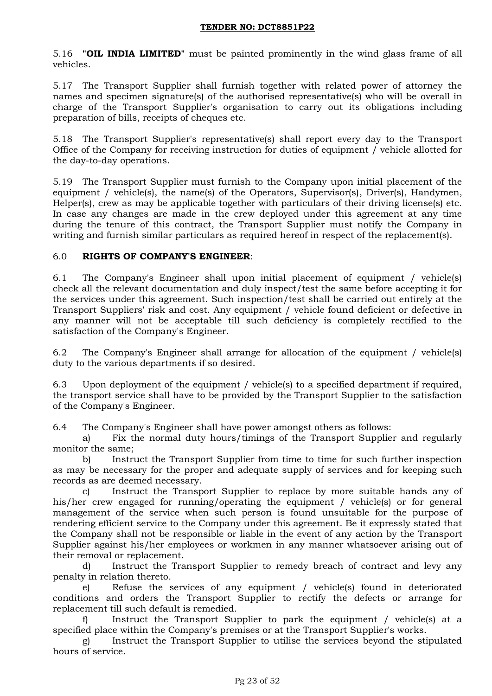5.16 **"OIL INDIA LIMITED"** must be painted prominently in the wind glass frame of all vehicles.

5.17 The Transport Supplier shall furnish together with related power of attorney the names and specimen signature(s) of the authorised representative(s) who will be overall in charge of the Transport Supplier's organisation to carry out its obligations including preparation of bills, receipts of cheques etc.

5.18 The Transport Supplier's representative(s) shall report every day to the Transport Office of the Company for receiving instruction for duties of equipment / vehicle allotted for the day-to-day operations.

5.19 The Transport Supplier must furnish to the Company upon initial placement of the equipment / vehicle(s), the name(s) of the Operators, Supervisor(s), Driver(s), Handymen, Helper(s), crew as may be applicable together with particulars of their driving license(s) etc. In case any changes are made in the crew deployed under this agreement at any time during the tenure of this contract, the Transport Supplier must notify the Company in writing and furnish similar particulars as required hereof in respect of the replacement(s).

## 6.0 **RIGHTS OF COMPANY'S ENGINEER**:

6.1 The Company's Engineer shall upon initial placement of equipment / vehicle(s) check all the relevant documentation and duly inspect/test the same before accepting it for the services under this agreement. Such inspection/test shall be carried out entirely at the Transport Suppliers' risk and cost. Any equipment / vehicle found deficient or defective in any manner will not be acceptable till such deficiency is completely rectified to the satisfaction of the Company's Engineer.

6.2 The Company's Engineer shall arrange for allocation of the equipment / vehicle(s) duty to the various departments if so desired.

6.3 Upon deployment of the equipment / vehicle(s) to a specified department if required, the transport service shall have to be provided by the Transport Supplier to the satisfaction of the Company's Engineer.

6.4 The Company's Engineer shall have power amongst others as follows:

a) Fix the normal duty hours/timings of the Transport Supplier and regularly monitor the same;

b) Instruct the Transport Supplier from time to time for such further inspection as may be necessary for the proper and adequate supply of services and for keeping such records as are deemed necessary.

c) Instruct the Transport Supplier to replace by more suitable hands any of his/her crew engaged for running/operating the equipment / vehicle(s) or for general management of the service when such person is found unsuitable for the purpose of rendering efficient service to the Company under this agreement. Be it expressly stated that the Company shall not be responsible or liable in the event of any action by the Transport Supplier against his/her employees or workmen in any manner whatsoever arising out of their removal or replacement.

d) Instruct the Transport Supplier to remedy breach of contract and levy any penalty in relation thereto.

e) Refuse the services of any equipment / vehicle(s) found in deteriorated conditions and orders the Transport Supplier to rectify the defects or arrange for replacement till such default is remedied.

f) Instruct the Transport Supplier to park the equipment / vehicle(s) at a specified place within the Company's premises or at the Transport Supplier's works.

g) Instruct the Transport Supplier to utilise the services beyond the stipulated hours of service.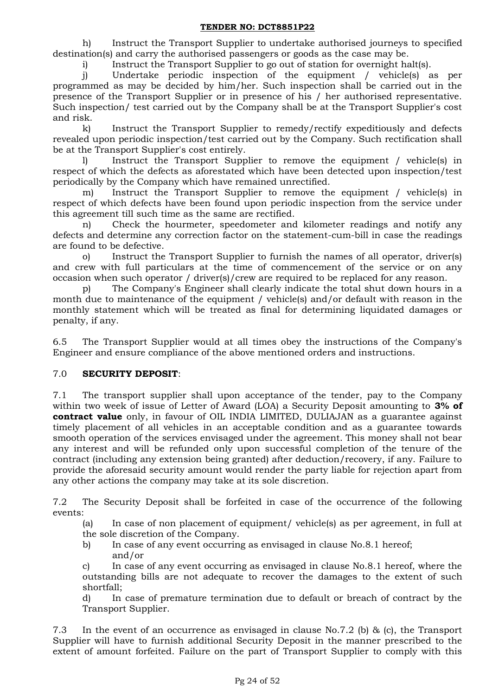h) Instruct the Transport Supplier to undertake authorised journeys to specified destination(s) and carry the authorised passengers or goods as the case may be.

i) Instruct the Transport Supplier to go out of station for overnight halt(s).

j) Undertake periodic inspection of the equipment / vehicle(s) as per programmed as may be decided by him/her. Such inspection shall be carried out in the presence of the Transport Supplier or in presence of his / her authorised representative. Such inspection/ test carried out by the Company shall be at the Transport Supplier's cost and risk.

k) Instruct the Transport Supplier to remedy/rectify expeditiously and defects revealed upon periodic inspection/test carried out by the Company. Such rectification shall be at the Transport Supplier's cost entirely.

l) Instruct the Transport Supplier to remove the equipment / vehicle(s) in respect of which the defects as aforestated which have been detected upon inspection/test periodically by the Company which have remained unrectified.

m) Instruct the Transport Supplier to remove the equipment / vehicle(s) in respect of which defects have been found upon periodic inspection from the service under this agreement till such time as the same are rectified.

n) Check the hourmeter, speedometer and kilometer readings and notify any defects and determine any correction factor on the statement-cum-bill in case the readings are found to be defective.

o) Instruct the Transport Supplier to furnish the names of all operator, driver(s) and crew with full particulars at the time of commencement of the service or on any occasion when such operator / driver(s)/crew are required to be replaced for any reason.

p) The Company's Engineer shall clearly indicate the total shut down hours in a month due to maintenance of the equipment / vehicle(s) and/or default with reason in the monthly statement which will be treated as final for determining liquidated damages or penalty, if any.

6.5 The Transport Supplier would at all times obey the instructions of the Company's Engineer and ensure compliance of the above mentioned orders and instructions.

### 7.0 **SECURITY DEPOSIT**:

7.1 The transport supplier shall upon acceptance of the tender, pay to the Company within two week of issue of Letter of Award (LOA) a Security Deposit amounting to **3% of contract value** only, in favour of OIL INDIA LIMITED, DULIAJAN as a guarantee against timely placement of all vehicles in an acceptable condition and as a guarantee towards smooth operation of the services envisaged under the agreement. This money shall not bear any interest and will be refunded only upon successful completion of the tenure of the contract (including any extension being granted) after deduction/recovery, if any. Failure to provide the aforesaid security amount would render the party liable for rejection apart from any other actions the company may take at its sole discretion.

7.2 The Security Deposit shall be forfeited in case of the occurrence of the following events:

(a) In case of non placement of equipment/ vehicle(s) as per agreement, in full at the sole discretion of the Company.

b) In case of any event occurring as envisaged in clause No.8.1 hereof; and/or

c) In case of any event occurring as envisaged in clause No.8.1 hereof, where the outstanding bills are not adequate to recover the damages to the extent of such shortfall;

d) In case of premature termination due to default or breach of contract by the Transport Supplier.

7.3 In the event of an occurrence as envisaged in clause No.7.2 (b) & (c), the Transport Supplier will have to furnish additional Security Deposit in the manner prescribed to the extent of amount forfeited. Failure on the part of Transport Supplier to comply with this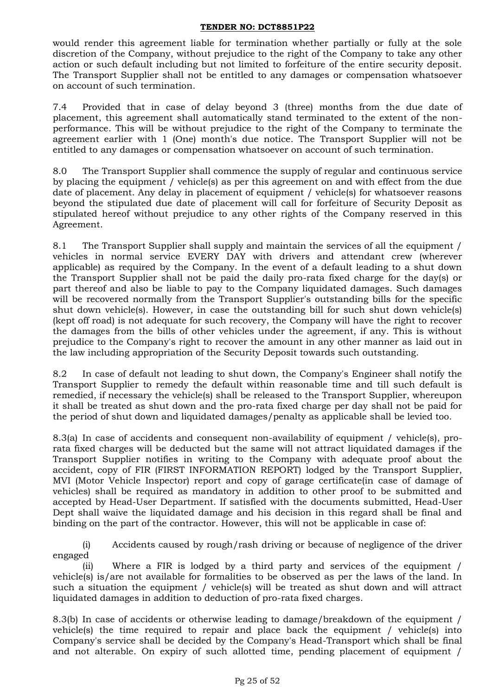would render this agreement liable for termination whether partially or fully at the sole discretion of the Company, without prejudice to the right of the Company to take any other action or such default including but not limited to forfeiture of the entire security deposit. The Transport Supplier shall not be entitled to any damages or compensation whatsoever on account of such termination.

7.4 Provided that in case of delay beyond 3 (three) months from the due date of placement, this agreement shall automatically stand terminated to the extent of the nonperformance. This will be without prejudice to the right of the Company to terminate the agreement earlier with 1 (One) month's due notice. The Transport Supplier will not be entitled to any damages or compensation whatsoever on account of such termination.

8.0 The Transport Supplier shall commence the supply of regular and continuous service by placing the equipment / vehicle(s) as per this agreement on and with effect from the due date of placement. Any delay in placement of equipment / vehicle(s) for whatsoever reasons beyond the stipulated due date of placement will call for forfeiture of Security Deposit as stipulated hereof without prejudice to any other rights of the Company reserved in this Agreement.

8.1 The Transport Supplier shall supply and maintain the services of all the equipment / vehicles in normal service EVERY DAY with drivers and attendant crew (wherever applicable) as required by the Company. In the event of a default leading to a shut down the Transport Supplier shall not be paid the daily pro-rata fixed charge for the day(s) or part thereof and also be liable to pay to the Company liquidated damages. Such damages will be recovered normally from the Transport Supplier's outstanding bills for the specific shut down vehicle(s). However, in case the outstanding bill for such shut down vehicle(s) (kept off road) is not adequate for such recovery, the Company will have the right to recover the damages from the bills of other vehicles under the agreement, if any. This is without prejudice to the Company's right to recover the amount in any other manner as laid out in the law including appropriation of the Security Deposit towards such outstanding.

8.2 In case of default not leading to shut down, the Company's Engineer shall notify the Transport Supplier to remedy the default within reasonable time and till such default is remedied, if necessary the vehicle(s) shall be released to the Transport Supplier, whereupon it shall be treated as shut down and the pro-rata fixed charge per day shall not be paid for the period of shut down and liquidated damages/penalty as applicable shall be levied too.

8.3(a) In case of accidents and consequent non-availability of equipment / vehicle(s), prorata fixed charges will be deducted but the same will not attract liquidated damages if the Transport Supplier notifies in writing to the Company with adequate proof about the accident, copy of FIR (FIRST INFORMATION REPORT) lodged by the Transport Supplier, MVI (Motor Vehicle Inspector) report and copy of garage certificate(in case of damage of vehicles) shall be required as mandatory in addition to other proof to be submitted and accepted by Head-User Department. If satisfied with the documents submitted, Head-User Dept shall waive the liquidated damage and his decision in this regard shall be final and binding on the part of the contractor. However, this will not be applicable in case of:

(i) Accidents caused by rough/rash driving or because of negligence of the driver engaged

(ii) Where a FIR is lodged by a third party and services of the equipment / vehicle(s) is/are not available for formalities to be observed as per the laws of the land. In such a situation the equipment / vehicle(s) will be treated as shut down and will attract liquidated damages in addition to deduction of pro-rata fixed charges.

8.3(b) In case of accidents or otherwise leading to damage/breakdown of the equipment / vehicle(s) the time required to repair and place back the equipment / vehicle(s) into Company's service shall be decided by the Company's Head-Transport which shall be final and not alterable. On expiry of such allotted time, pending placement of equipment /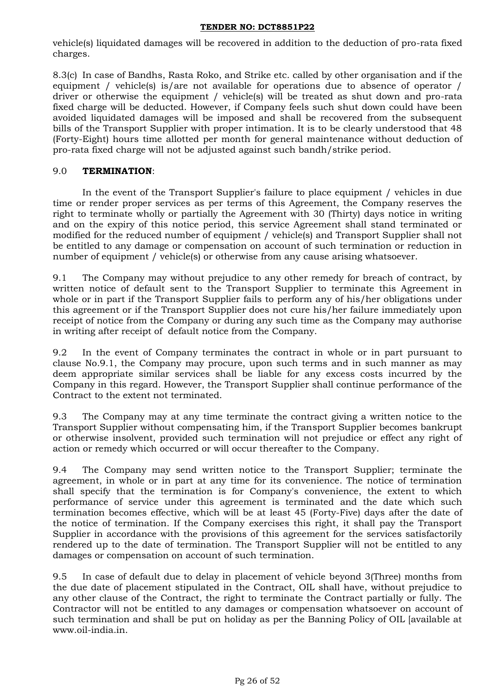vehicle(s) liquidated damages will be recovered in addition to the deduction of pro-rata fixed charges.

8.3(c) In case of Bandhs, Rasta Roko, and Strike etc. called by other organisation and if the equipment / vehicle(s) is/are not available for operations due to absence of operator / driver or otherwise the equipment / vehicle(s) will be treated as shut down and pro-rata fixed charge will be deducted. However, if Company feels such shut down could have been avoided liquidated damages will be imposed and shall be recovered from the subsequent bills of the Transport Supplier with proper intimation. It is to be clearly understood that 48 (Forty-Eight) hours time allotted per month for general maintenance without deduction of pro-rata fixed charge will not be adjusted against such bandh/strike period.

## 9.0 **TERMINATION**:

In the event of the Transport Supplier's failure to place equipment / vehicles in due time or render proper services as per terms of this Agreement, the Company reserves the right to terminate wholly or partially the Agreement with 30 (Thirty) days notice in writing and on the expiry of this notice period, this service Agreement shall stand terminated or modified for the reduced number of equipment / vehicle(s) and Transport Supplier shall not be entitled to any damage or compensation on account of such termination or reduction in number of equipment / vehicle(s) or otherwise from any cause arising whatsoever.

9.1 The Company may without prejudice to any other remedy for breach of contract, by written notice of default sent to the Transport Supplier to terminate this Agreement in whole or in part if the Transport Supplier fails to perform any of his/her obligations under this agreement or if the Transport Supplier does not cure his/her failure immediately upon receipt of notice from the Company or during any such time as the Company may authorise in writing after receipt of default notice from the Company.

9.2 In the event of Company terminates the contract in whole or in part pursuant to clause No.9.1, the Company may procure, upon such terms and in such manner as may deem appropriate similar services shall be liable for any excess costs incurred by the Company in this regard. However, the Transport Supplier shall continue performance of the Contract to the extent not terminated.

9.3 The Company may at any time terminate the contract giving a written notice to the Transport Supplier without compensating him, if the Transport Supplier becomes bankrupt or otherwise insolvent, provided such termination will not prejudice or effect any right of action or remedy which occurred or will occur thereafter to the Company.

9.4 The Company may send written notice to the Transport Supplier; terminate the agreement, in whole or in part at any time for its convenience. The notice of termination shall specify that the termination is for Company's convenience, the extent to which performance of service under this agreement is terminated and the date which such termination becomes effective, which will be at least 45 (Forty-Five) days after the date of the notice of termination. If the Company exercises this right, it shall pay the Transport Supplier in accordance with the provisions of this agreement for the services satisfactorily rendered up to the date of termination. The Transport Supplier will not be entitled to any damages or compensation on account of such termination.

9.5 In case of default due to delay in placement of vehicle beyond 3(Three) months from the due date of placement stipulated in the Contract, OIL shall have, without prejudice to any other clause of the Contract, the right to terminate the Contract partially or fully. The Contractor will not be entitled to any damages or compensation whatsoever on account of such termination and shall be put on holiday as per the Banning Policy of OIL [available at www.oil-india.in.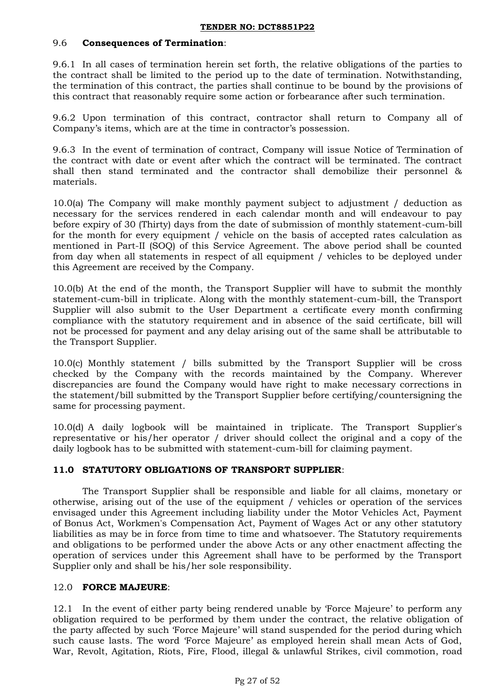### 9.6 **Consequences of Termination**:

9.6.1 In all cases of termination herein set forth, the relative obligations of the parties to the contract shall be limited to the period up to the date of termination. Notwithstanding, the termination of this contract, the parties shall continue to be bound by the provisions of this contract that reasonably require some action or forbearance after such termination.

9.6.2 Upon termination of this contract, contractor shall return to Company all of Company's items, which are at the time in contractor's possession.

9.6.3 In the event of termination of contract, Company will issue Notice of Termination of the contract with date or event after which the contract will be terminated. The contract shall then stand terminated and the contractor shall demobilize their personnel & materials.

10.0(a) The Company will make monthly payment subject to adjustment / deduction as necessary for the services rendered in each calendar month and will endeavour to pay before expiry of 30 (Thirty) days from the date of submission of monthly statement-cum-bill for the month for every equipment / vehicle on the basis of accepted rates calculation as mentioned in Part-II (SOQ) of this Service Agreement. The above period shall be counted from day when all statements in respect of all equipment / vehicles to be deployed under this Agreement are received by the Company.

10.0(b) At the end of the month, the Transport Supplier will have to submit the monthly statement-cum-bill in triplicate. Along with the monthly statement-cum-bill, the Transport Supplier will also submit to the User Department a certificate every month confirming compliance with the statutory requirement and in absence of the said certificate, bill will not be processed for payment and any delay arising out of the same shall be attributable to the Transport Supplier.

10.0(c) Monthly statement / bills submitted by the Transport Supplier will be cross checked by the Company with the records maintained by the Company. Wherever discrepancies are found the Company would have right to make necessary corrections in the statement/bill submitted by the Transport Supplier before certifying/countersigning the same for processing payment.

10.0(d) A daily logbook will be maintained in triplicate. The Transport Supplier's representative or his/her operator / driver should collect the original and a copy of the daily logbook has to be submitted with statement-cum-bill for claiming payment.

### **11.0 STATUTORY OBLIGATIONS OF TRANSPORT SUPPLIER**:

The Transport Supplier shall be responsible and liable for all claims, monetary or otherwise, arising out of the use of the equipment / vehicles or operation of the services envisaged under this Agreement including liability under the Motor Vehicles Act, Payment of Bonus Act, Workmen's Compensation Act, Payment of Wages Act or any other statutory liabilities as may be in force from time to time and whatsoever. The Statutory requirements and obligations to be performed under the above Acts or any other enactment affecting the operation of services under this Agreement shall have to be performed by the Transport Supplier only and shall be his/her sole responsibility.

### 12.0 **FORCE MAJEURE**:

12.1 In the event of either party being rendered unable by "Force Majeure" to perform any obligation required to be performed by them under the contract, the relative obligation of the party affected by such "Force Majeure" will stand suspended for the period during which such cause lasts. The word 'Force Majeure' as employed herein shall mean Acts of God, War, Revolt, Agitation, Riots, Fire, Flood, illegal & unlawful Strikes, civil commotion, road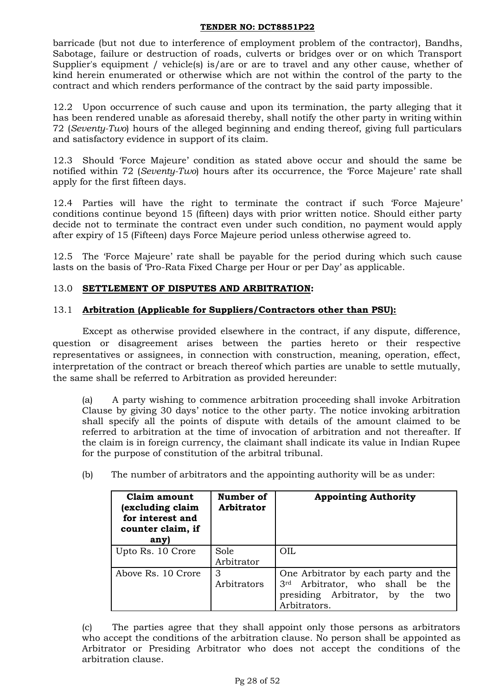barricade (but not due to interference of employment problem of the contractor), Bandhs, Sabotage, failure or destruction of roads, culverts or bridges over or on which Transport Supplier's equipment / vehicle(s) is/are or are to travel and any other cause, whether of kind herein enumerated or otherwise which are not within the control of the party to the contract and which renders performance of the contract by the said party impossible.

12.2 Upon occurrence of such cause and upon its termination, the party alleging that it has been rendered unable as aforesaid thereby, shall notify the other party in writing within 72 (*Seventy-Two*) hours of the alleged beginning and ending thereof, giving full particulars and satisfactory evidence in support of its claim.

12.3 Should "Force Majeure" condition as stated above occur and should the same be notified within 72 (*Seventy-Two*) hours after its occurrence, the "Force Majeure" rate shall apply for the first fifteen days.

12.4 Parties will have the right to terminate the contract if such "Force Majeure" conditions continue beyond 15 (fifteen) days with prior written notice. Should either party decide not to terminate the contract even under such condition, no payment would apply after expiry of 15 (Fifteen) days Force Majeure period unless otherwise agreed to.

12.5 The "Force Majeure" rate shall be payable for the period during which such cause lasts on the basis of 'Pro-Rata Fixed Charge per Hour or per Day' as applicable.

## 13.0 **SETTLEMENT OF DISPUTES AND ARBITRATION:**

## 13.1 **Arbitration (Applicable for Suppliers/Contractors other than PSU):**

Except as otherwise provided elsewhere in the contract, if any dispute, difference, question or disagreement arises between the parties hereto or their respective representatives or assignees, in connection with construction, meaning, operation, effect, interpretation of the contract or breach thereof which parties are unable to settle mutually, the same shall be referred to Arbitration as provided hereunder:

(a) A party wishing to commence arbitration proceeding shall invoke Arbitration Clause by giving 30 days" notice to the other party. The notice invoking arbitration shall specify all the points of dispute with details of the amount claimed to be referred to arbitration at the time of invocation of arbitration and not thereafter. If the claim is in foreign currency, the claimant shall indicate its value in Indian Rupee for the purpose of constitution of the arbitral tribunal.

| Claim amount<br>excluding claim<br>for interest and<br>counter claim, if<br>any) | Number of<br><b>Arbitrator</b> | <b>Appointing Authority</b>                                                                                                     |
|----------------------------------------------------------------------------------|--------------------------------|---------------------------------------------------------------------------------------------------------------------------------|
| Upto Rs. 10 Crore                                                                | Sole<br>Arbitrator             | OIL.                                                                                                                            |
| Above Rs. 10 Crore                                                               | З<br>Arbitrators               | One Arbitrator by each party and the<br>3rd Arbitrator, who shall be the<br>presiding Arbitrator, by the<br>two<br>Arbitrators. |

(b) The number of arbitrators and the appointing authority will be as under:

(c) The parties agree that they shall appoint only those persons as arbitrators who accept the conditions of the arbitration clause. No person shall be appointed as Arbitrator or Presiding Arbitrator who does not accept the conditions of the arbitration clause.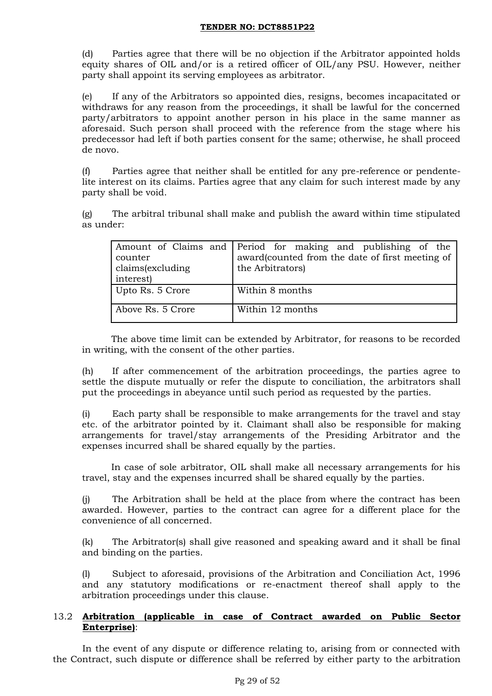(d) Parties agree that there will be no objection if the Arbitrator appointed holds equity shares of OIL and/or is a retired officer of OIL/any PSU. However, neither party shall appoint its serving employees as arbitrator.

(e) If any of the Arbitrators so appointed dies, resigns, becomes incapacitated or withdraws for any reason from the proceedings, it shall be lawful for the concerned party/arbitrators to appoint another person in his place in the same manner as aforesaid. Such person shall proceed with the reference from the stage where his predecessor had left if both parties consent for the same; otherwise, he shall proceed de novo.

(f) Parties agree that neither shall be entitled for any pre-reference or pendentelite interest on its claims. Parties agree that any claim for such interest made by any party shall be void.

(g) The arbitral tribunal shall make and publish the award within time stipulated as under:

| counter<br>claims(excluding<br>interest) | Amount of Claims and Period for making and publishing of the<br>award(counted from the date of first meeting of<br>the Arbitrators) |
|------------------------------------------|-------------------------------------------------------------------------------------------------------------------------------------|
| Upto Rs. 5 Crore                         | Within 8 months                                                                                                                     |
| Above Rs. 5 Crore                        | Within 12 months                                                                                                                    |

The above time limit can be extended by Arbitrator, for reasons to be recorded in writing, with the consent of the other parties.

(h) If after commencement of the arbitration proceedings, the parties agree to settle the dispute mutually or refer the dispute to conciliation, the arbitrators shall put the proceedings in abeyance until such period as requested by the parties.

(i) Each party shall be responsible to make arrangements for the travel and stay etc. of the arbitrator pointed by it. Claimant shall also be responsible for making arrangements for travel/stay arrangements of the Presiding Arbitrator and the expenses incurred shall be shared equally by the parties.

In case of sole arbitrator, OIL shall make all necessary arrangements for his travel, stay and the expenses incurred shall be shared equally by the parties.

(j) The Arbitration shall be held at the place from where the contract has been awarded. However, parties to the contract can agree for a different place for the convenience of all concerned.

(k) The Arbitrator(s) shall give reasoned and speaking award and it shall be final and binding on the parties.

(l) Subject to aforesaid, provisions of the Arbitration and Conciliation Act, 1996 and any statutory modifications or re-enactment thereof shall apply to the arbitration proceedings under this clause.

### 13.2 **Arbitration (applicable in case of Contract awarded on Public Sector Enterprise)**:

In the event of any dispute or difference relating to, arising from or connected with the Contract, such dispute or difference shall be referred by either party to the arbitration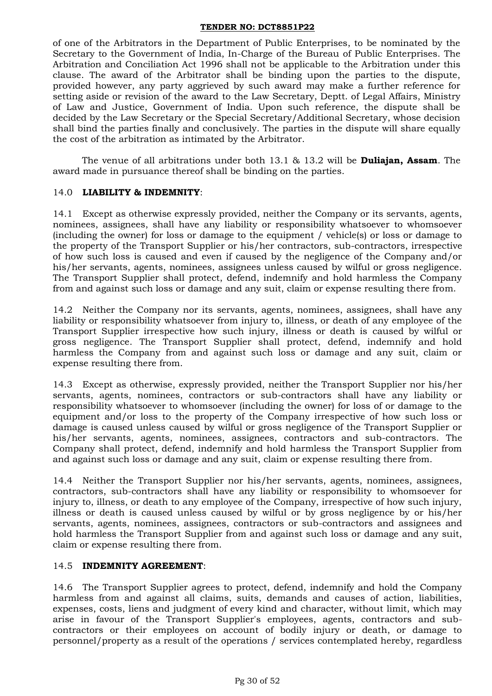of one of the Arbitrators in the Department of Public Enterprises, to be nominated by the Secretary to the Government of India, In-Charge of the Bureau of Public Enterprises. The Arbitration and Conciliation Act 1996 shall not be applicable to the Arbitration under this clause. The award of the Arbitrator shall be binding upon the parties to the dispute, provided however, any party aggrieved by such award may make a further reference for setting aside or revision of the award to the Law Secretary, Deptt. of Legal Affairs, Ministry of Law and Justice, Government of India. Upon such reference, the dispute shall be decided by the Law Secretary or the Special Secretary/Additional Secretary, whose decision shall bind the parties finally and conclusively. The parties in the dispute will share equally the cost of the arbitration as intimated by the Arbitrator.

The venue of all arbitrations under both 13.1 & 13.2 will be **Duliajan, Assam**. The award made in pursuance thereof shall be binding on the parties.

### 14.0 **LIABILITY & INDEMNITY**:

14.1 Except as otherwise expressly provided, neither the Company or its servants, agents, nominees, assignees, shall have any liability or responsibility whatsoever to whomsoever (including the owner) for loss or damage to the equipment / vehicle(s) or loss or damage to the property of the Transport Supplier or his/her contractors, sub-contractors, irrespective of how such loss is caused and even if caused by the negligence of the Company and/or his/her servants, agents, nominees, assignees unless caused by wilful or gross negligence. The Transport Supplier shall protect, defend, indemnify and hold harmless the Company from and against such loss or damage and any suit, claim or expense resulting there from.

14.2 Neither the Company nor its servants, agents, nominees, assignees, shall have any liability or responsibility whatsoever from injury to, illness, or death of any employee of the Transport Supplier irrespective how such injury, illness or death is caused by wilful or gross negligence. The Transport Supplier shall protect, defend, indemnify and hold harmless the Company from and against such loss or damage and any suit, claim or expense resulting there from.

14.3 Except as otherwise, expressly provided, neither the Transport Supplier nor his/her servants, agents, nominees, contractors or sub-contractors shall have any liability or responsibility whatsoever to whomsoever (including the owner) for loss of or damage to the equipment and/or loss to the property of the Company irrespective of how such loss or damage is caused unless caused by wilful or gross negligence of the Transport Supplier or his/her servants, agents, nominees, assignees, contractors and sub-contractors. The Company shall protect, defend, indemnify and hold harmless the Transport Supplier from and against such loss or damage and any suit, claim or expense resulting there from.

14.4 Neither the Transport Supplier nor his/her servants, agents, nominees, assignees, contractors, sub-contractors shall have any liability or responsibility to whomsoever for injury to, illness, or death to any employee of the Company, irrespective of how such injury, illness or death is caused unless caused by wilful or by gross negligence by or his/her servants, agents, nominees, assignees, contractors or sub-contractors and assignees and hold harmless the Transport Supplier from and against such loss or damage and any suit, claim or expense resulting there from.

### 14.5 **INDEMNITY AGREEMENT**:

14.6 The Transport Supplier agrees to protect, defend, indemnify and hold the Company harmless from and against all claims, suits, demands and causes of action, liabilities, expenses, costs, liens and judgment of every kind and character, without limit, which may arise in favour of the Transport Supplier's employees, agents, contractors and subcontractors or their employees on account of bodily injury or death, or damage to personnel/property as a result of the operations / services contemplated hereby, regardless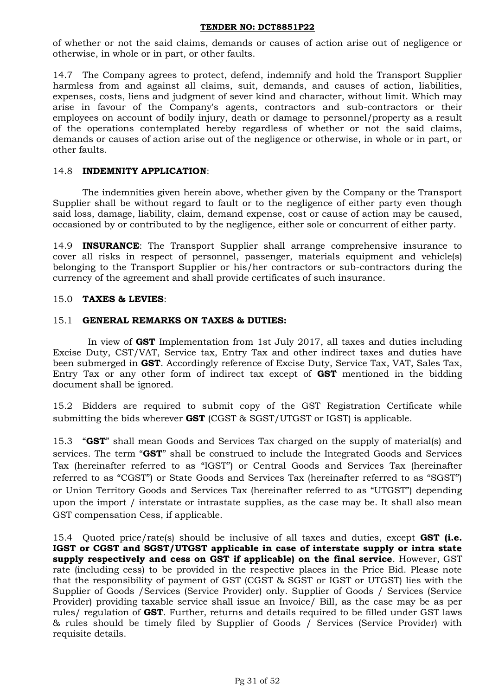of whether or not the said claims, demands or causes of action arise out of negligence or otherwise, in whole or in part, or other faults.

14.7 The Company agrees to protect, defend, indemnify and hold the Transport Supplier harmless from and against all claims, suit, demands, and causes of action, liabilities, expenses, costs, liens and judgment of sever kind and character, without limit. Which may arise in favour of the Company's agents, contractors and sub-contractors or their employees on account of bodily injury, death or damage to personnel/property as a result of the operations contemplated hereby regardless of whether or not the said claims, demands or causes of action arise out of the negligence or otherwise, in whole or in part, or other faults.

## 14.8 **INDEMNITY APPLICATION**:

The indemnities given herein above, whether given by the Company or the Transport Supplier shall be without regard to fault or to the negligence of either party even though said loss, damage, liability, claim, demand expense, cost or cause of action may be caused, occasioned by or contributed to by the negligence, either sole or concurrent of either party.

14.9 **INSURANCE**: The Transport Supplier shall arrange comprehensive insurance to cover all risks in respect of personnel, passenger, materials equipment and vehicle(s) belonging to the Transport Supplier or his/her contractors or sub-contractors during the currency of the agreement and shall provide certificates of such insurance.

## 15.0 **TAXES & LEVIES**:

## 15.1 **GENERAL REMARKS ON TAXES & DUTIES:**

In view of **GST** Implementation from 1st July 2017, all taxes and duties including Excise Duty, CST/VAT, Service tax, Entry Tax and other indirect taxes and duties have been submerged in **GST**. Accordingly reference of Excise Duty, Service Tax, VAT, Sales Tax, Entry Tax or any other form of indirect tax except of **GST** mentioned in the bidding document shall be ignored.

15.2 Bidders are required to submit copy of the GST Registration Certificate while submitting the bids wherever **GST** (CGST & SGST/UTGST or IGST) is applicable.

15.3 "**GST**" shall mean Goods and Services Tax charged on the supply of material(s) and services. The term "**GST**" shall be construed to include the Integrated Goods and Services Tax (hereinafter referred to as "IGST") or Central Goods and Services Tax (hereinafter referred to as "CGST") or State Goods and Services Tax (hereinafter referred to as "SGST") or Union Territory Goods and Services Tax (hereinafter referred to as "UTGST") depending upon the import / interstate or intrastate supplies, as the case may be. It shall also mean GST compensation Cess, if applicable.

15.4 Quoted price/rate(s) should be inclusive of all taxes and duties, except **GST (i.e. IGST or CGST and SGST/UTGST applicable in case of interstate supply or intra state supply respectively and cess on GST if applicable) on the final service**. However, GST rate (including cess) to be provided in the respective places in the Price Bid. Please note that the responsibility of payment of GST (CGST & SGST or IGST or UTGST) lies with the Supplier of Goods /Services (Service Provider) only. Supplier of Goods / Services (Service Provider) providing taxable service shall issue an Invoice/ Bill, as the case may be as per rules/ regulation of **GST**. Further, returns and details required to be filled under GST laws & rules should be timely filed by Supplier of Goods / Services (Service Provider) with requisite details.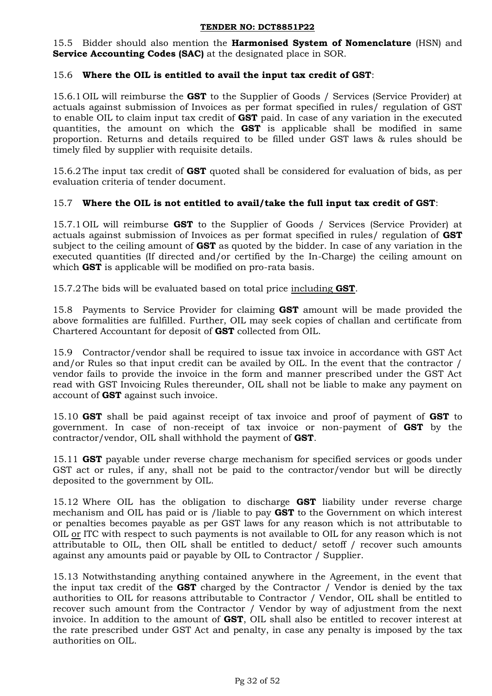15.5 Bidder should also mention the **Harmonised System of Nomenclature** (HSN) and **Service Accounting Codes (SAC)** at the designated place in SOR.

## 15.6 **Where the OIL is entitled to avail the input tax credit of GST**:

15.6.1 OIL will reimburse the **GST** to the Supplier of Goods / Services (Service Provider) at actuals against submission of Invoices as per format specified in rules/ regulation of GST to enable OIL to claim input tax credit of **GST** paid. In case of any variation in the executed quantities, the amount on which the **GST** is applicable shall be modified in same proportion. Returns and details required to be filled under GST laws & rules should be timely filed by supplier with requisite details.

15.6.2The input tax credit of **GST** quoted shall be considered for evaluation of bids, as per evaluation criteria of tender document.

## 15.7 **Where the OIL is not entitled to avail/take the full input tax credit of GST**:

15.7.1 OIL will reimburse **GST** to the Supplier of Goods / Services (Service Provider) at actuals against submission of Invoices as per format specified in rules/ regulation of **GST** subject to the ceiling amount of **GST** as quoted by the bidder. In case of any variation in the executed quantities (If directed and/or certified by the In-Charge) the ceiling amount on which **GST** is applicable will be modified on pro-rata basis.

15.7.2The bids will be evaluated based on total price including **GST**.

15.8 Payments to Service Provider for claiming **GST** amount will be made provided the above formalities are fulfilled. Further, OIL may seek copies of challan and certificate from Chartered Accountant for deposit of **GST** collected from OIL.

15.9 Contractor/vendor shall be required to issue tax invoice in accordance with GST Act and/or Rules so that input credit can be availed by OIL. In the event that the contractor / vendor fails to provide the invoice in the form and manner prescribed under the GST Act read with GST Invoicing Rules thereunder, OIL shall not be liable to make any payment on account of **GST** against such invoice.

15.10 **GST** shall be paid against receipt of tax invoice and proof of payment of **GST** to government. In case of non-receipt of tax invoice or non-payment of **GST** by the contractor/vendor, OIL shall withhold the payment of **GST**.

15.11 **GST** payable under reverse charge mechanism for specified services or goods under GST act or rules, if any, shall not be paid to the contractor/vendor but will be directly deposited to the government by OIL.

15.12 Where OIL has the obligation to discharge **GST** liability under reverse charge mechanism and OIL has paid or is /liable to pay **GST** to the Government on which interest or penalties becomes payable as per GST laws for any reason which is not attributable to OIL or ITC with respect to such payments is not available to OIL for any reason which is not attributable to OIL, then OIL shall be entitled to deduct/ setoff / recover such amounts against any amounts paid or payable by OIL to Contractor / Supplier.

15.13 Notwithstanding anything contained anywhere in the Agreement, in the event that the input tax credit of the **GST** charged by the Contractor / Vendor is denied by the tax authorities to OIL for reasons attributable to Contractor / Vendor, OIL shall be entitled to recover such amount from the Contractor / Vendor by way of adjustment from the next invoice. In addition to the amount of **GST**, OIL shall also be entitled to recover interest at the rate prescribed under GST Act and penalty, in case any penalty is imposed by the tax authorities on OIL.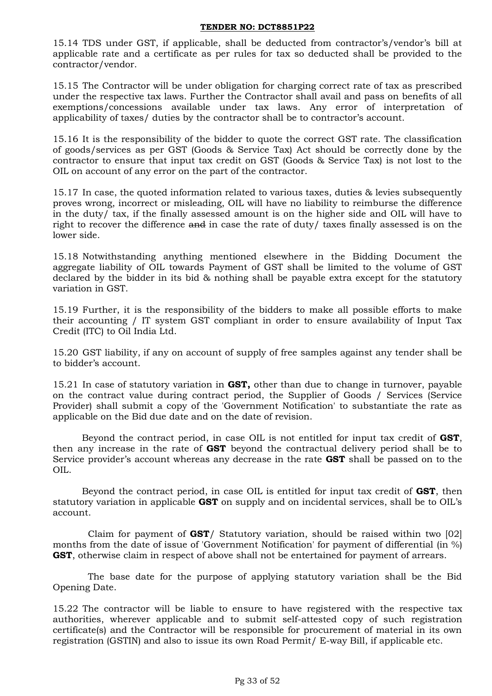15.14 TDS under GST, if applicable, shall be deducted from contractor"s/vendor"s bill at applicable rate and a certificate as per rules for tax so deducted shall be provided to the contractor/vendor.

15.15 The Contractor will be under obligation for charging correct rate of tax as prescribed under the respective tax laws. Further the Contractor shall avail and pass on benefits of all exemptions/concessions available under tax laws. Any error of interpretation of applicability of taxes/ duties by the contractor shall be to contractor's account.

15.16 It is the responsibility of the bidder to quote the correct GST rate. The classification of goods/services as per GST (Goods & Service Tax) Act should be correctly done by the contractor to ensure that input tax credit on GST (Goods & Service Tax) is not lost to the OIL on account of any error on the part of the contractor.

15.17 In case, the quoted information related to various taxes, duties & levies subsequently proves wrong, incorrect or misleading, OIL will have no liability to reimburse the difference in the duty/ tax, if the finally assessed amount is on the higher side and OIL will have to right to recover the difference and in case the rate of duty/ taxes finally assessed is on the lower side.

15.18 Notwithstanding anything mentioned elsewhere in the Bidding Document the aggregate liability of OIL towards Payment of GST shall be limited to the volume of GST declared by the bidder in its bid & nothing shall be payable extra except for the statutory variation in GST.

15.19 Further, it is the responsibility of the bidders to make all possible efforts to make their accounting / IT system GST compliant in order to ensure availability of Input Tax Credit (ITC) to Oil India Ltd.

15.20 GST liability, if any on account of supply of free samples against any tender shall be to bidder"s account.

15.21 In case of statutory variation in **GST,** other than due to change in turnover, payable on the contract value during contract period, the Supplier of Goods / Services (Service Provider) shall submit a copy of the 'Government Notification' to substantiate the rate as applicable on the Bid due date and on the date of revision.

Beyond the contract period, in case OIL is not entitled for input tax credit of **GST**, then any increase in the rate of **GST** beyond the contractual delivery period shall be to Service provider"s account whereas any decrease in the rate **GST** shall be passed on to the OIL.

Beyond the contract period, in case OIL is entitled for input tax credit of **GST**, then statutory variation in applicable **GST** on supply and on incidental services, shall be to OIL"s account.

Claim for payment of **GST**/ Statutory variation, should be raised within two [02] months from the date of issue of 'Government Notification' for payment of differential (in %) **GST**, otherwise claim in respect of above shall not be entertained for payment of arrears.

The base date for the purpose of applying statutory variation shall be the Bid Opening Date.

15.22 The contractor will be liable to ensure to have registered with the respective tax authorities, wherever applicable and to submit self-attested copy of such registration certificate(s) and the Contractor will be responsible for procurement of material in its own registration (GSTIN) and also to issue its own Road Permit/ E-way Bill, if applicable etc.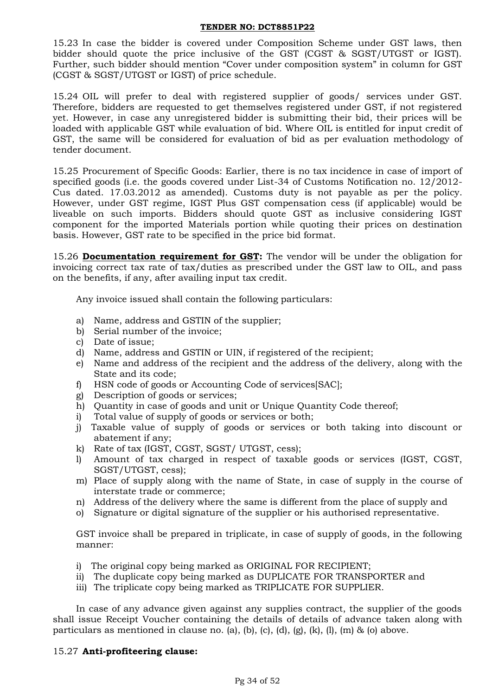15.23 In case the bidder is covered under Composition Scheme under GST laws, then bidder should quote the price inclusive of the GST (CGST & SGST/UTGST or IGST). Further, such bidder should mention "Cover under composition system" in column for GST (CGST & SGST/UTGST or IGST) of price schedule.

15.24 OIL will prefer to deal with registered supplier of goods/ services under GST. Therefore, bidders are requested to get themselves registered under GST, if not registered yet. However, in case any unregistered bidder is submitting their bid, their prices will be loaded with applicable GST while evaluation of bid. Where OIL is entitled for input credit of GST, the same will be considered for evaluation of bid as per evaluation methodology of tender document.

15.25 Procurement of Specific Goods: Earlier, there is no tax incidence in case of import of specified goods (i.e. the goods covered under List-34 of Customs Notification no. 12/2012- Cus dated. 17.03.2012 as amended). Customs duty is not payable as per the policy. However, under GST regime, IGST Plus GST compensation cess (if applicable) would be liveable on such imports. Bidders should quote GST as inclusive considering IGST component for the imported Materials portion while quoting their prices on destination basis. However, GST rate to be specified in the price bid format.

15.26 **Documentation requirement for GST:** The vendor will be under the obligation for invoicing correct tax rate of tax/duties as prescribed under the GST law to OIL, and pass on the benefits, if any, after availing input tax credit.

Any invoice issued shall contain the following particulars:

- a) Name, address and GSTIN of the supplier;
- b) Serial number of the invoice;
- c) Date of issue;
- d) Name, address and GSTIN or UIN, if registered of the recipient;
- e) Name and address of the recipient and the address of the delivery, along with the State and its code;
- f) HSN code of goods or Accounting Code of services[SAC];
- g) Description of goods or services;
- h) Quantity in case of goods and unit or Unique Quantity Code thereof;
- i) Total value of supply of goods or services or both;
- j) Taxable value of supply of goods or services or both taking into discount or abatement if any;
- k) Rate of tax (IGST, CGST, SGST/ UTGST, cess);
- l) Amount of tax charged in respect of taxable goods or services (IGST, CGST, SGST/UTGST, cess);
- m) Place of supply along with the name of State, in case of supply in the course of interstate trade or commerce;
- n) Address of the delivery where the same is different from the place of supply and
- o) Signature or digital signature of the supplier or his authorised representative.

GST invoice shall be prepared in triplicate, in case of supply of goods, in the following manner:

- i) The original copy being marked as ORIGINAL FOR RECIPIENT;
- ii) The duplicate copy being marked as DUPLICATE FOR TRANSPORTER and
- iii) The triplicate copy being marked as TRIPLICATE FOR SUPPLIER.

In case of any advance given against any supplies contract, the supplier of the goods shall issue Receipt Voucher containing the details of details of advance taken along with particulars as mentioned in clause no. (a), (b), (c), (d), (g), (k), (l), (m) & (o) above.

### 15.27 **Anti-profiteering clause:**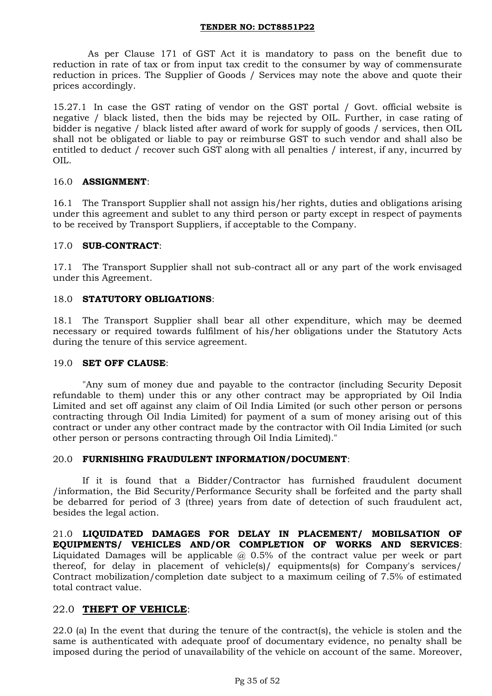As per Clause 171 of GST Act it is mandatory to pass on the benefit due to reduction in rate of tax or from input tax credit to the consumer by way of commensurate reduction in prices. The Supplier of Goods / Services may note the above and quote their prices accordingly.

15.27.1 In case the GST rating of vendor on the GST portal / Govt. official website is negative / black listed, then the bids may be rejected by OIL. Further, in case rating of bidder is negative / black listed after award of work for supply of goods / services, then OIL shall not be obligated or liable to pay or reimburse GST to such vendor and shall also be entitled to deduct / recover such GST along with all penalties / interest, if any, incurred by OIL.

## 16.0 **ASSIGNMENT**:

16.1 The Transport Supplier shall not assign his/her rights, duties and obligations arising under this agreement and sublet to any third person or party except in respect of payments to be received by Transport Suppliers, if acceptable to the Company.

## 17.0 **SUB-CONTRACT**:

17.1 The Transport Supplier shall not sub-contract all or any part of the work envisaged under this Agreement.

## 18.0 **STATUTORY OBLIGATIONS**:

18.1 The Transport Supplier shall bear all other expenditure, which may be deemed necessary or required towards fulfilment of his/her obligations under the Statutory Acts during the tenure of this service agreement.

### 19.0 **SET OFF CLAUSE**:

"Any sum of money due and payable to the contractor (including Security Deposit refundable to them) under this or any other contract may be appropriated by Oil India Limited and set off against any claim of Oil India Limited (or such other person or persons contracting through Oil India Limited) for payment of a sum of money arising out of this contract or under any other contract made by the contractor with Oil India Limited (or such other person or persons contracting through Oil India Limited)."

### 20.0 **FURNISHING FRAUDULENT INFORMATION/DOCUMENT**:

If it is found that a Bidder/Contractor has furnished fraudulent document /information, the Bid Security/Performance Security shall be forfeited and the party shall be debarred for period of 3 (three) years from date of detection of such fraudulent act, besides the legal action.

21.0 **LIQUIDATED DAMAGES FOR DELAY IN PLACEMENT/ MOBILSATION OF EQUIPMENTS/ VEHICLES AND/OR COMPLETION OF WORKS AND SERVICES**: Liquidated Damages will be applicable  $\omega$  0.5% of the contract value per week or part thereof, for delay in placement of vehicle(s)/ equipments(s) for Company's services/ Contract mobilization/completion date subject to a maximum ceiling of 7.5% of estimated total contract value.

### 22.0 **THEFT OF VEHICLE**:

22.0 (a) In the event that during the tenure of the contract(s), the vehicle is stolen and the same is authenticated with adequate proof of documentary evidence, no penalty shall be imposed during the period of unavailability of the vehicle on account of the same. Moreover,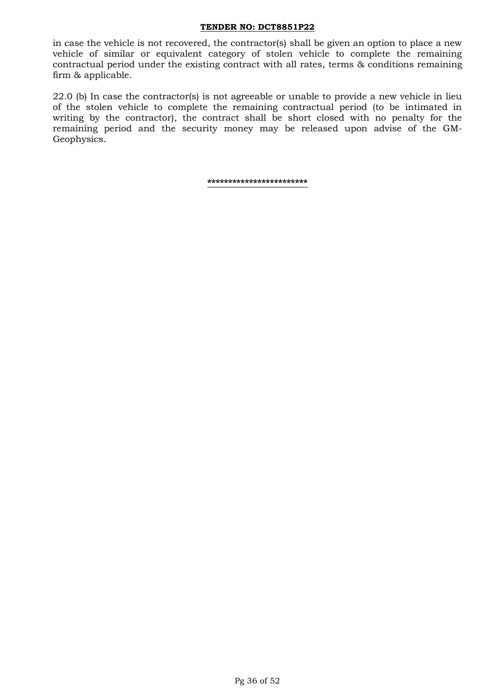in case the vehicle is not recovered, the contractor(s) shall be given an option to place a new vehicle of similar or equivalent category of stolen vehicle to complete the remaining contractual period under the existing contract with all rates, terms & conditions remaining firm & applicable.

22.0 (b) In case the contractor(s) is not agreeable or unable to provide a new vehicle in lieu of the stolen vehicle to complete the remaining contractual period (to be intimated in writing by the contractor), the contract shall be short closed with no penalty for the remaining period and the security money may be released upon advise of the GM-Geophysics.

**\*\*\*\*\*\*\*\*\*\*\*\*\*\*\*\*\*\*\*\*\*\*\*\***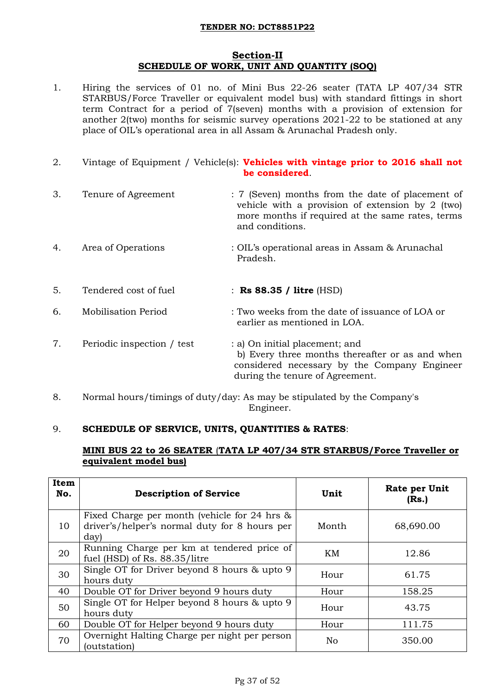### **Section-II SCHEDULE OF WORK, UNIT AND QUANTITY (SOQ)**

1. Hiring the services of 01 no. of Mini Bus 22-26 seater (TATA LP 407/34 STR STARBUS/Force Traveller or equivalent model bus) with standard fittings in short term Contract for a period of 7(seven) months with a provision of extension for another 2(two) months for seismic survey operations 2021-22 to be stationed at any place of OIL"s operational area in all Assam & Arunachal Pradesh only.

| 2. |                            | Vintage of Equipment / Vehicle(s): <b>Vehicles with vintage prior to 2016 shall not</b><br>be considered.                                                                   |
|----|----------------------------|-----------------------------------------------------------------------------------------------------------------------------------------------------------------------------|
| 3. | Tenure of Agreement        | : 7 (Seven) months from the date of placement of<br>vehicle with a provision of extension by 2 (two)<br>more months if required at the same rates, terms<br>and conditions. |
| 4. | Area of Operations         | : OIL's operational areas in Assam & Arunachal<br>Pradesh.                                                                                                                  |
| 5. | Tendered cost of fuel      | : Rs 88.35 / litre $(HSD)$                                                                                                                                                  |
| 6. | <b>Mobilisation Period</b> | : Two weeks from the date of issuance of LOA or<br>earlier as mentioned in LOA.                                                                                             |
| 7. | Periodic inspection / test | : a) On initial placement; and<br>b) Every three months thereafter or as and when<br>considered necessary by the Company Engineer<br>during the tenure of Agreement.        |

8. Normal hours/timings of duty/day: As may be stipulated by the Company's Engineer.

### 9. **SCHEDULE OF SERVICE, UNITS, QUANTITIES & RATES**:

### **MINI BUS 22 to 26 SEATER** (**TATA LP 407/34 STR STARBUS/Force Traveller or equivalent model bus)**

| Item<br>No. | <b>Description of Service</b>                                                                         | Unit  | Rate per Unit<br>(Rs.) |  |  |
|-------------|-------------------------------------------------------------------------------------------------------|-------|------------------------|--|--|
| 10          | Fixed Charge per month (vehicle for 24 hrs &<br>driver's/helper's normal duty for 8 hours per<br>day) | Month | 68,690.00              |  |  |
| 20          | Running Charge per km at tendered price of<br>fuel (HSD) of Rs. 88.35/litre                           | KM    | 12.86                  |  |  |
| 30          | Single OT for Driver beyond 8 hours & upto 9<br>hours duty                                            | Hour  | 61.75                  |  |  |
| 40          | Double OT for Driver beyond 9 hours duty                                                              | Hour  | 158.25                 |  |  |
| 50          | Single OT for Helper beyond 8 hours & upto 9<br>Hour<br>hours duty                                    |       | 43.75                  |  |  |
| 60          | Double OT for Helper beyond 9 hours duty                                                              | Hour  | 111.75                 |  |  |
| 70          | Overnight Halting Charge per night per person<br>(outstation)                                         | No    | 350.00                 |  |  |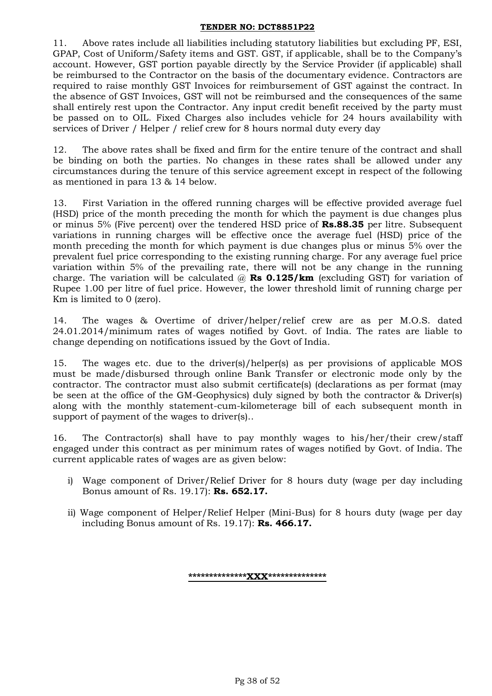11. Above rates include all liabilities including statutory liabilities but excluding PF, ESI, GPAP, Cost of Uniform/Safety items and GST. GST, if applicable, shall be to the Company"s account. However, GST portion payable directly by the Service Provider (if applicable) shall be reimbursed to the Contractor on the basis of the documentary evidence. Contractors are required to raise monthly GST Invoices for reimbursement of GST against the contract. In the absence of GST Invoices, GST will not be reimbursed and the consequences of the same shall entirely rest upon the Contractor. Any input credit benefit received by the party must be passed on to OIL. Fixed Charges also includes vehicle for 24 hours availability with services of Driver / Helper / relief crew for 8 hours normal duty every day

12. The above rates shall be fixed and firm for the entire tenure of the contract and shall be binding on both the parties. No changes in these rates shall be allowed under any circumstances during the tenure of this service agreement except in respect of the following as mentioned in para 13 & 14 below.

13. First Variation in the offered running charges will be effective provided average fuel (HSD) price of the month preceding the month for which the payment is due changes plus or minus 5% (Five percent) over the tendered HSD price of **Rs.88.35** per litre. Subsequent variations in running charges will be effective once the average fuel (HSD) price of the month preceding the month for which payment is due changes plus or minus 5% over the prevalent fuel price corresponding to the existing running charge. For any average fuel price variation within 5% of the prevailing rate, there will not be any change in the running charge. The variation will be calculated @ **Rs 0.125/km** (excluding GST) for variation of Rupee 1.00 per litre of fuel price. However, the lower threshold limit of running charge per Km is limited to 0 (zero).

14. The wages & Overtime of driver/helper/relief crew are as per M.O.S. dated 24.01.2014/minimum rates of wages notified by Govt. of India. The rates are liable to change depending on notifications issued by the Govt of India.

15. The wages etc. due to the driver(s)/helper(s) as per provisions of applicable MOS must be made/disbursed through online Bank Transfer or electronic mode only by the contractor. The contractor must also submit certificate(s) (declarations as per format (may be seen at the office of the GM-Geophysics) duly signed by both the contractor & Driver(s) along with the monthly statement-cum-kilometerage bill of each subsequent month in support of payment of the wages to driver(s)..

16. The Contractor(s) shall have to pay monthly wages to his/her/their crew/staff engaged under this contract as per minimum rates of wages notified by Govt. of India. The current applicable rates of wages are as given below:

- i) Wage component of Driver/Relief Driver for 8 hours duty (wage per day including Bonus amount of Rs. 19.17): **Rs. 652.17.**
- ii) Wage component of Helper/Relief Helper (Mini-Bus) for 8 hours duty (wage per day including Bonus amount of Rs. 19.17): **Rs. 466.17.**

**\*\*\*\*\*\*\*\*\*\*\*\*\*\*XXX\*\*\*\*\*\*\*\*\*\*\*\*\*\***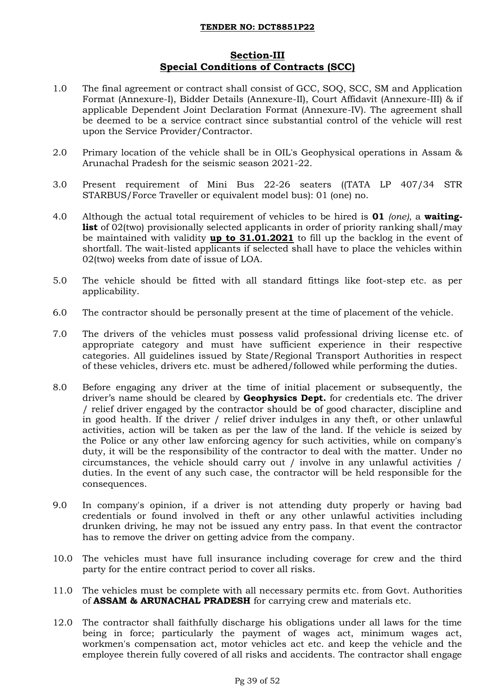## **Section-III Special Conditions of Contracts (SCC)**

- 1.0 The final agreement or contract shall consist of GCC, SOQ, SCC, SM and Application Format (Annexure-I), Bidder Details (Annexure-II), Court Affidavit (Annexure-III) & if applicable Dependent Joint Declaration Format (Annexure-IV). The agreement shall be deemed to be a service contract since substantial control of the vehicle will rest upon the Service Provider/Contractor.
- 2.0 Primary location of the vehicle shall be in OIL's Geophysical operations in Assam & Arunachal Pradesh for the seismic season 2021-22.
- 3.0 Present requirement of Mini Bus 22-26 seaters ((TATA LP 407/34 STR STARBUS/Force Traveller or equivalent model bus): 01 (one) no.
- 4.0 Although the actual total requirement of vehicles to be hired is **01** *(one)*, a **waitinglist** of 02(two) provisionally selected applicants in order of priority ranking shall/may be maintained with validity **up to 31.01.2021** to fill up the backlog in the event of shortfall. The wait-listed applicants if selected shall have to place the vehicles within 02(two) weeks from date of issue of LOA.
- 5.0 The vehicle should be fitted with all standard fittings like foot-step etc. as per applicability.
- 6.0 The contractor should be personally present at the time of placement of the vehicle.
- 7.0 The drivers of the vehicles must possess valid professional driving license etc. of appropriate category and must have sufficient experience in their respective categories. All guidelines issued by State/Regional Transport Authorities in respect of these vehicles, drivers etc. must be adhered/followed while performing the duties.
- 8.0 Before engaging any driver at the time of initial placement or subsequently, the driver"s name should be cleared by **Geophysics Dept.** for credentials etc. The driver / relief driver engaged by the contractor should be of good character, discipline and in good health. If the driver / relief driver indulges in any theft, or other unlawful activities, action will be taken as per the law of the land. If the vehicle is seized by the Police or any other law enforcing agency for such activities, while on company's duty, it will be the responsibility of the contractor to deal with the matter. Under no circumstances, the vehicle should carry out / involve in any unlawful activities / duties. In the event of any such case, the contractor will be held responsible for the consequences.
- 9.0 In company's opinion, if a driver is not attending duty properly or having bad credentials or found involved in theft or any other unlawful activities including drunken driving, he may not be issued any entry pass. In that event the contractor has to remove the driver on getting advice from the company.
- 10.0 The vehicles must have full insurance including coverage for crew and the third party for the entire contract period to cover all risks.
- 11.0 The vehicles must be complete with all necessary permits etc. from Govt. Authorities of **ASSAM & ARUNACHAL PRADESH** for carrying crew and materials etc.
- 12.0 The contractor shall faithfully discharge his obligations under all laws for the time being in force; particularly the payment of wages act, minimum wages act, workmen's compensation act, motor vehicles act etc. and keep the vehicle and the employee therein fully covered of all risks and accidents. The contractor shall engage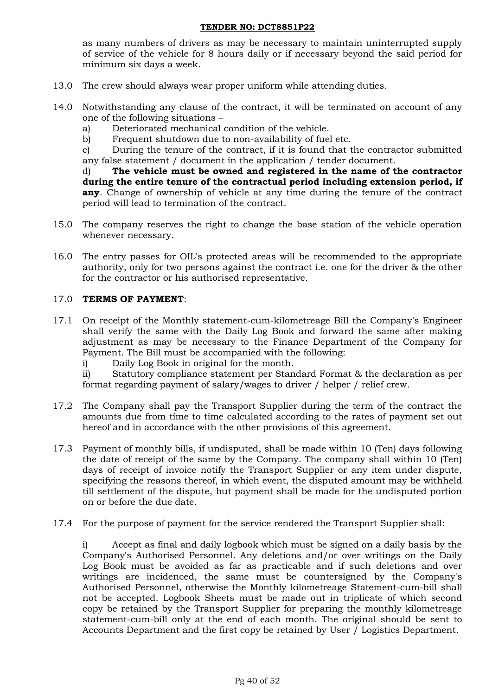as many numbers of drivers as may be necessary to maintain uninterrupted supply of service of the vehicle for 8 hours daily or if necessary beyond the said period for minimum six days a week.

- 13.0 The crew should always wear proper uniform while attending duties.
- 14.0 Notwithstanding any clause of the contract, it will be terminated on account of any one of the following situations –
	- a) Deteriorated mechanical condition of the vehicle.
	- b) Frequent shutdown due to non-availability of fuel etc.

c) During the tenure of the contract, if it is found that the contractor submitted any false statement / document in the application / tender document.

d) **The vehicle must be owned and registered in the name of the contractor during the entire tenure of the contractual period including extension period, if any**. Change of ownership of vehicle at any time during the tenure of the contract period will lead to termination of the contract.

- 15.0 The company reserves the right to change the base station of the vehicle operation whenever necessary.
- 16.0 The entry passes for OIL's protected areas will be recommended to the appropriate authority, only for two persons against the contract i.e. one for the driver & the other for the contractor or his authorised representative.

### 17.0 **TERMS OF PAYMENT**:

- 17.1 On receipt of the Monthly statement-cum-kilometreage Bill the Company's Engineer shall verify the same with the Daily Log Book and forward the same after making adjustment as may be necessary to the Finance Department of the Company for Payment. The Bill must be accompanied with the following:
	- i) Daily Log Book in original for the month.
	- ii) Statutory compliance statement per Standard Format & the declaration as per format regarding payment of salary/wages to driver / helper / relief crew.
- 17.2 The Company shall pay the Transport Supplier during the term of the contract the amounts due from time to time calculated according to the rates of payment set out hereof and in accordance with the other provisions of this agreement.
- 17.3 Payment of monthly bills, if undisputed, shall be made within 10 (Ten) days following the date of receipt of the same by the Company. The company shall within 10 (Ten) days of receipt of invoice notify the Transport Supplier or any item under dispute, specifying the reasons thereof, in which event, the disputed amount may be withheld till settlement of the dispute, but payment shall be made for the undisputed portion on or before the due date.
- 17.4 For the purpose of payment for the service rendered the Transport Supplier shall:

i) Accept as final and daily logbook which must be signed on a daily basis by the Company's Authorised Personnel. Any deletions and/or over writings on the Daily Log Book must be avoided as far as practicable and if such deletions and over writings are incidenced, the same must be countersigned by the Company's Authorised Personnel, otherwise the Monthly kilometreage Statement-cum-bill shall not be accepted. Logbook Sheets must be made out in triplicate of which second copy be retained by the Transport Supplier for preparing the monthly kilometreage statement-cum-bill only at the end of each month. The original should be sent to Accounts Department and the first copy be retained by User / Logistics Department.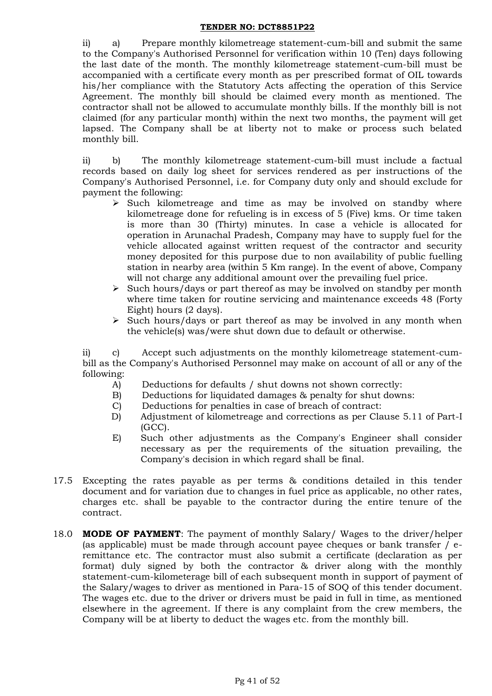ii) a) Prepare monthly kilometreage statement-cum-bill and submit the same to the Company's Authorised Personnel for verification within 10 (Ten) days following the last date of the month. The monthly kilometreage statement-cum-bill must be accompanied with a certificate every month as per prescribed format of OIL towards his/her compliance with the Statutory Acts affecting the operation of this Service Agreement. The monthly bill should be claimed every month as mentioned. The contractor shall not be allowed to accumulate monthly bills. If the monthly bill is not claimed (for any particular month) within the next two months, the payment will get lapsed. The Company shall be at liberty not to make or process such belated monthly bill.

ii) b) The monthly kilometreage statement-cum-bill must include a factual records based on daily log sheet for services rendered as per instructions of the Company's Authorised Personnel, i.e. for Company duty only and should exclude for payment the following:

- $\triangleright$  Such kilometreage and time as may be involved on standby where kilometreage done for refueling is in excess of 5 (Five) kms. Or time taken is more than 30 (Thirty) minutes. In case a vehicle is allocated for operation in Arunachal Pradesh, Company may have to supply fuel for the vehicle allocated against written request of the contractor and security money deposited for this purpose due to non availability of public fuelling station in nearby area (within 5 Km range). In the event of above, Company will not charge any additional amount over the prevailing fuel price.
- $\triangleright$  Such hours/days or part thereof as may be involved on standby per month where time taken for routine servicing and maintenance exceeds 48 (Forty Eight) hours (2 days).
- $\triangleright$  Such hours/days or part thereof as may be involved in any month when the vehicle(s) was/were shut down due to default or otherwise.

ii) c) Accept such adjustments on the monthly kilometreage statement-cumbill as the Company's Authorised Personnel may make on account of all or any of the following:

- A) Deductions for defaults / shut downs not shown correctly:
- B) Deductions for liquidated damages & penalty for shut downs:
- C) Deductions for penalties in case of breach of contract:
- D) Adjustment of kilometreage and corrections as per Clause 5.11 of Part-I (GCC).
- E) Such other adjustments as the Company's Engineer shall consider necessary as per the requirements of the situation prevailing, the Company's decision in which regard shall be final.
- 17.5 Excepting the rates payable as per terms & conditions detailed in this tender document and for variation due to changes in fuel price as applicable, no other rates, charges etc. shall be payable to the contractor during the entire tenure of the contract.
- 18.0 **MODE OF PAYMENT**: The payment of monthly Salary/ Wages to the driver/helper (as applicable) must be made through account payee cheques or bank transfer / eremittance etc. The contractor must also submit a certificate (declaration as per format) duly signed by both the contractor & driver along with the monthly statement-cum-kilometerage bill of each subsequent month in support of payment of the Salary/wages to driver as mentioned in Para-15 of SOQ of this tender document. The wages etc. due to the driver or drivers must be paid in full in time, as mentioned elsewhere in the agreement. If there is any complaint from the crew members, the Company will be at liberty to deduct the wages etc. from the monthly bill.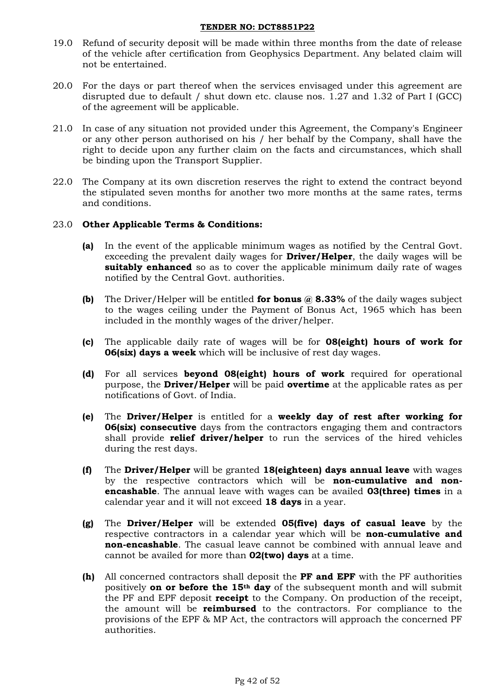- 19.0 Refund of security deposit will be made within three months from the date of release of the vehicle after certification from Geophysics Department. Any belated claim will not be entertained.
- 20.0 For the days or part thereof when the services envisaged under this agreement are disrupted due to default / shut down etc. clause nos. 1.27 and 1.32 of Part I (GCC) of the agreement will be applicable.
- 21.0 In case of any situation not provided under this Agreement, the Company's Engineer or any other person authorised on his / her behalf by the Company, shall have the right to decide upon any further claim on the facts and circumstances, which shall be binding upon the Transport Supplier.
- 22.0 The Company at its own discretion reserves the right to extend the contract beyond the stipulated seven months for another two more months at the same rates, terms and conditions.

### 23.0 **Other Applicable Terms & Conditions:**

- **(a)** In the event of the applicable minimum wages as notified by the Central Govt. exceeding the prevalent daily wages for **Driver/Helper**, the daily wages will be **suitably enhanced** so as to cover the applicable minimum daily rate of wages notified by the Central Govt. authorities.
- **(b)** The Driver/Helper will be entitled **for bonus @ 8.33%** of the daily wages subject to the wages ceiling under the Payment of Bonus Act, 1965 which has been included in the monthly wages of the driver/helper.
- **(c)** The applicable daily rate of wages will be for **08(eight) hours of work for 06(six) days a week** which will be inclusive of rest day wages.
- **(d)** For all services **beyond 08(eight) hours of work** required for operational purpose, the **Driver/Helper** will be paid **overtime** at the applicable rates as per notifications of Govt. of India.
- **(e)** The **Driver/Helper** is entitled for a **weekly day of rest after working for 06(six) consecutive** days from the contractors engaging them and contractors shall provide **relief driver/helper** to run the services of the hired vehicles during the rest days.
- **(f)** The **Driver/Helper** will be granted **18(eighteen) days annual leave** with wages by the respective contractors which will be **non-cumulative and nonencashable**. The annual leave with wages can be availed **03(three) times** in a calendar year and it will not exceed **18 days** in a year.
- **(g)** The **Driver/Helper** will be extended **05(five) days of casual leave** by the respective contractors in a calendar year which will be **non-cumulative and non-encashable**. The casual leave cannot be combined with annual leave and cannot be availed for more than **02(two) days** at a time.
- **(h)** All concerned contractors shall deposit the **PF and EPF** with the PF authorities positively **on or before the 15th day** of the subsequent month and will submit the PF and EPF deposit **receipt** to the Company. On production of the receipt, the amount will be **reimbursed** to the contractors. For compliance to the provisions of the EPF & MP Act, the contractors will approach the concerned PF authorities.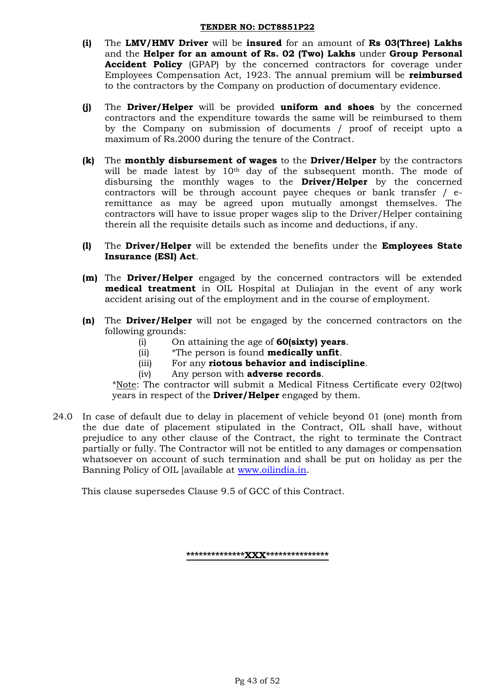- **(i)** The **LMV/HMV Driver** will be **insured** for an amount of **Rs 03(Three) Lakhs**  and the **Helper for an amount of Rs. 02 (Two) Lakhs** under **Group Personal Accident Policy** (GPAP) by the concerned contractors for coverage under Employees Compensation Act, 1923. The annual premium will be **reimbursed** to the contractors by the Company on production of documentary evidence.
- **(j)** The **Driver/Helper** will be provided **uniform and shoes** by the concerned contractors and the expenditure towards the same will be reimbursed to them by the Company on submission of documents / proof of receipt upto a maximum of Rs.2000 during the tenure of the Contract.
- **(k)** The **monthly disbursement of wages** to the **Driver/Helper** by the contractors will be made latest by 10<sup>th</sup> day of the subsequent month. The mode of disbursing the monthly wages to the **Driver/Helper** by the concerned contractors will be through account payee cheques or bank transfer / eremittance as may be agreed upon mutually amongst themselves. The contractors will have to issue proper wages slip to the Driver/Helper containing therein all the requisite details such as income and deductions, if any.
- **(l)** The **Driver/Helper** will be extended the benefits under the **Employees State Insurance (ESI) Act**.
- **(m)** The **Driver/Helper** engaged by the concerned contractors will be extended **medical treatment** in OIL Hospital at Duliajan in the event of any work accident arising out of the employment and in the course of employment.
- **(n)** The **Driver/Helper** will not be engaged by the concerned contractors on the following grounds:
	- (i) On attaining the age of **60(sixty) years**.
	- (ii) \*The person is found **medically unfit**.
	- (iii) For any **riotous behavior and indiscipline**.
	- (iv) Any person with **adverse records**.

\*Note: The contractor will submit a Medical Fitness Certificate every 02(two) years in respect of the **Driver/Helper** engaged by them.

24.0 In case of default due to delay in placement of vehicle beyond 01 (one) month from the due date of placement stipulated in the Contract, OIL shall have, without prejudice to any other clause of the Contract, the right to terminate the Contract partially or fully. The Contractor will not be entitled to any damages or compensation whatsoever on account of such termination and shall be put on holiday as per the Banning Policy of OIL [available at [www.oilindia.in.](http://www.oilindia.in/)

This clause supersedes Clause 9.5 of GCC of this Contract.

**\*\*\*\*\*\*\*\*\*\*\*\*\*\*XXX\*\*\*\*\*\*\*\*\*\*\*\*\*\*\***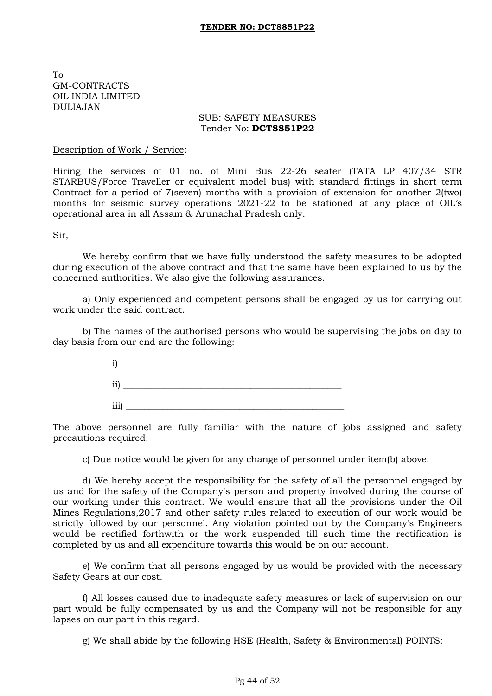To GM-CONTRACTS OIL INDIA LIMITED DULIAJAN

#### SUB: SAFETY MEASURES Tender No: **DCT8851P22**

#### Description of Work / Service:

Hiring the services of 01 no. of Mini Bus 22-26 seater (TATA LP 407/34 STR STARBUS/Force Traveller or equivalent model bus) with standard fittings in short term Contract for a period of 7(seven) months with a provision of extension for another 2(two) months for seismic survey operations 2021-22 to be stationed at any place of OIL's operational area in all Assam & Arunachal Pradesh only.

Sir,

We hereby confirm that we have fully understood the safety measures to be adopted during execution of the above contract and that the same have been explained to us by the concerned authorities. We also give the following assurances.

a) Only experienced and competent persons shall be engaged by us for carrying out work under the said contract.

b) The names of the authorised persons who would be supervising the jobs on day to day basis from our end are the following:



The above personnel are fully familiar with the nature of jobs assigned and safety precautions required.

c) Due notice would be given for any change of personnel under item(b) above.

d) We hereby accept the responsibility for the safety of all the personnel engaged by us and for the safety of the Company's person and property involved during the course of our working under this contract. We would ensure that all the provisions under the Oil Mines Regulations,2017 and other safety rules related to execution of our work would be strictly followed by our personnel. Any violation pointed out by the Company's Engineers would be rectified forthwith or the work suspended till such time the rectification is completed by us and all expenditure towards this would be on our account.

e) We confirm that all persons engaged by us would be provided with the necessary Safety Gears at our cost.

f) All losses caused due to inadequate safety measures or lack of supervision on our part would be fully compensated by us and the Company will not be responsible for any lapses on our part in this regard.

g) We shall abide by the following HSE (Health, Safety & Environmental) POINTS: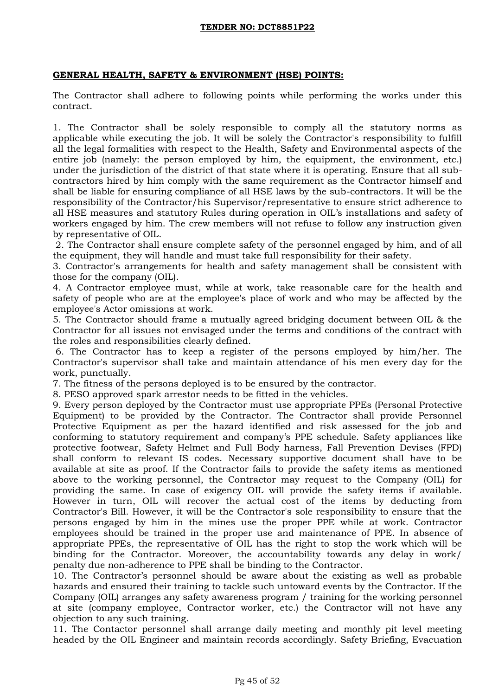### **GENERAL HEALTH, SAFETY & ENVIRONMENT (HSE) POINTS:**

The Contractor shall adhere to following points while performing the works under this contract.

1. The Contractor shall be solely responsible to comply all the statutory norms as applicable while executing the job. It will be solely the Contractor's responsibility to fulfill all the legal formalities with respect to the Health, Safety and Environmental aspects of the entire job (namely: the person employed by him, the equipment, the environment, etc.) under the jurisdiction of the district of that state where it is operating. Ensure that all subcontractors hired by him comply with the same requirement as the Contractor himself and shall be liable for ensuring compliance of all HSE laws by the sub-contractors. It will be the responsibility of the Contractor/his Supervisor/representative to ensure strict adherence to all HSE measures and statutory Rules during operation in OIL"s installations and safety of workers engaged by him. The crew members will not refuse to follow any instruction given by representative of OIL.

2. The Contractor shall ensure complete safety of the personnel engaged by him, and of all the equipment, they will handle and must take full responsibility for their safety.

3. Contractor's arrangements for health and safety management shall be consistent with those for the company (OIL).

4. A Contractor employee must, while at work, take reasonable care for the health and safety of people who are at the employee's place of work and who may be affected by the employee's Actor omissions at work.

5. The Contractor should frame a mutually agreed bridging document between OIL & the Contractor for all issues not envisaged under the terms and conditions of the contract with the roles and responsibilities clearly defined.

6. The Contractor has to keep a register of the persons employed by him/her. The Contractor's supervisor shall take and maintain attendance of his men every day for the work, punctually.

7. The fitness of the persons deployed is to be ensured by the contractor.

8. PESO approved spark arrestor needs to be fitted in the vehicles.

9. Every person deployed by the Contractor must use appropriate PPEs (Personal Protective Equipment) to be provided by the Contractor. The Contractor shall provide Personnel Protective Equipment as per the hazard identified and risk assessed for the job and conforming to statutory requirement and company"s PPE schedule. Safety appliances like protective footwear, Safety Helmet and Full Body harness, Fall Prevention Devises (FPD) shall conform to relevant IS codes. Necessary supportive document shall have to be available at site as proof. If the Contractor fails to provide the safety items as mentioned above to the working personnel, the Contractor may request to the Company (OIL) for providing the same. In case of exigency OIL will provide the safety items if available. However in turn, OIL will recover the actual cost of the items by deducting from Contractor's Bill. However, it will be the Contractor's sole responsibility to ensure that the persons engaged by him in the mines use the proper PPE while at work. Contractor employees should be trained in the proper use and maintenance of PPE. In absence of appropriate PPEs, the representative of OIL has the right to stop the work which will be binding for the Contractor. Moreover, the accountability towards any delay in work/ penalty due non-adherence to PPE shall be binding to the Contractor.

10. The Contractor"s personnel should be aware about the existing as well as probable hazards and ensured their training to tackle such untoward events by the Contractor. If the Company (OIL) arranges any safety awareness program / training for the working personnel at site (company employee, Contractor worker, etc.) the Contractor will not have any objection to any such training.

11. The Contactor personnel shall arrange daily meeting and monthly pit level meeting headed by the OIL Engineer and maintain records accordingly. Safety Briefing, Evacuation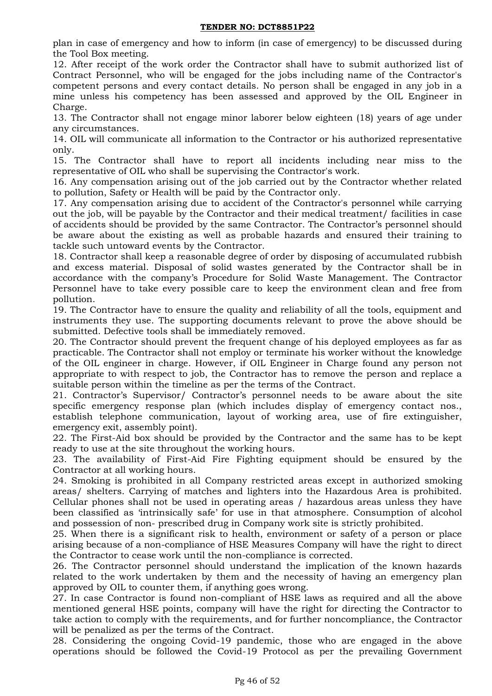plan in case of emergency and how to inform (in case of emergency) to be discussed during the Tool Box meeting.

12. After receipt of the work order the Contractor shall have to submit authorized list of Contract Personnel, who will be engaged for the jobs including name of the Contractor's competent persons and every contact details. No person shall be engaged in any job in a mine unless his competency has been assessed and approved by the OIL Engineer in Charge.

13. The Contractor shall not engage minor laborer below eighteen (18) years of age under any circumstances.

14. OIL will communicate all information to the Contractor or his authorized representative only.

15. The Contractor shall have to report all incidents including near miss to the representative of OIL who shall be supervising the Contractor's work.

16. Any compensation arising out of the job carried out by the Contractor whether related to pollution, Safety or Health will be paid by the Contractor only.

17. Any compensation arising due to accident of the Contractor's personnel while carrying out the job, will be payable by the Contractor and their medical treatment/ facilities in case of accidents should be provided by the same Contractor. The Contractor"s personnel should be aware about the existing as well as probable hazards and ensured their training to tackle such untoward events by the Contractor.

18. Contractor shall keep a reasonable degree of order by disposing of accumulated rubbish and excess material. Disposal of solid wastes generated by the Contractor shall be in accordance with the company"s Procedure for Solid Waste Management. The Contractor Personnel have to take every possible care to keep the environment clean and free from pollution.

19. The Contractor have to ensure the quality and reliability of all the tools, equipment and instruments they use. The supporting documents relevant to prove the above should be submitted. Defective tools shall be immediately removed.

20. The Contractor should prevent the frequent change of his deployed employees as far as practicable. The Contractor shall not employ or terminate his worker without the knowledge of the OIL engineer in charge. However, if OIL Engineer in Charge found any person not appropriate to with respect to job, the Contractor has to remove the person and replace a suitable person within the timeline as per the terms of the Contract.

21. Contractor"s Supervisor/ Contractor"s personnel needs to be aware about the site specific emergency response plan (which includes display of emergency contact nos., establish telephone communication, layout of working area, use of fire extinguisher, emergency exit, assembly point).

22. The First-Aid box should be provided by the Contractor and the same has to be kept ready to use at the site throughout the working hours.

23. The availability of First-Aid Fire Fighting equipment should be ensured by the Contractor at all working hours.

24. Smoking is prohibited in all Company restricted areas except in authorized smoking areas/ shelters. Carrying of matches and lighters into the Hazardous Area is prohibited. Cellular phones shall not be used in operating areas / hazardous areas unless they have been classified as "intrinsically safe" for use in that atmosphere. Consumption of alcohol and possession of non- prescribed drug in Company work site is strictly prohibited.

25. When there is a significant risk to health, environment or safety of a person or place arising because of a non-compliance of HSE Measures Company will have the right to direct the Contractor to cease work until the non-compliance is corrected.

26. The Contractor personnel should understand the implication of the known hazards related to the work undertaken by them and the necessity of having an emergency plan approved by OIL to counter them, if anything goes wrong.

27. In case Contractor is found non-compliant of HSE laws as required and all the above mentioned general HSE points, company will have the right for directing the Contractor to take action to comply with the requirements, and for further noncompliance, the Contractor will be penalized as per the terms of the Contract.

28. Considering the ongoing Covid-19 pandemic, those who are engaged in the above operations should be followed the Covid-19 Protocol as per the prevailing Government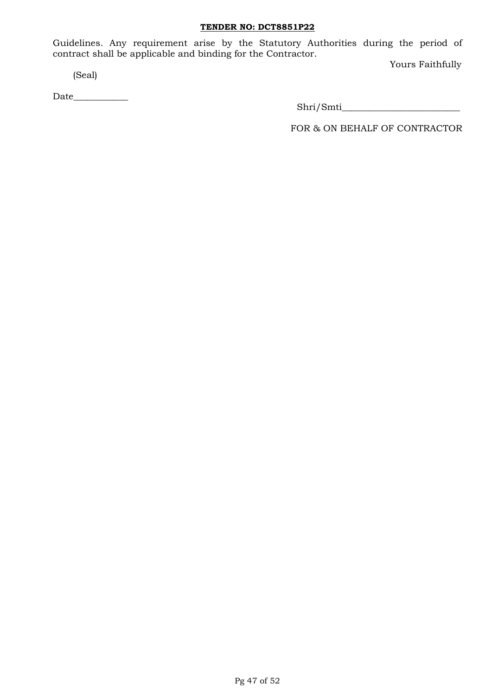Guidelines. Any requirement arise by the Statutory Authorities during the period of contract shall be applicable and binding for the Contractor.

(Seal)

Date\_\_\_\_\_\_\_\_\_\_\_\_

Yours Faithfully

Shri/Smti\_\_\_\_\_\_\_\_\_\_\_\_\_\_\_\_\_\_\_\_\_\_\_\_\_\_

FOR & ON BEHALF OF CONTRACTOR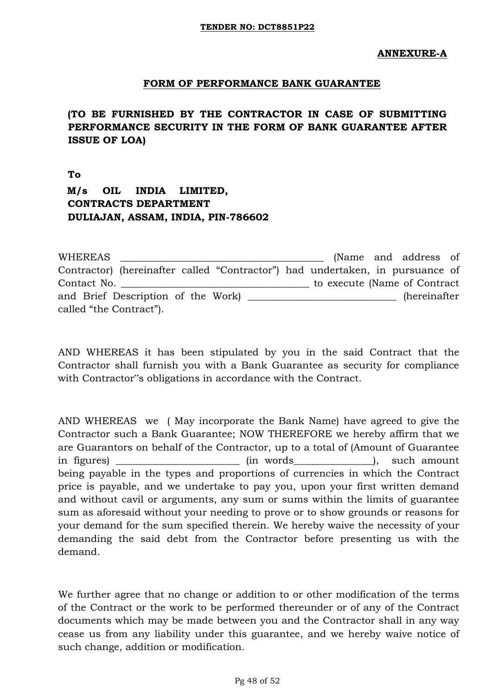## **FORM OF PERFORMANCE BANK GUARANTEE**

**(TO BE FURNISHED BY THE CONTRACTOR IN CASE OF SUBMITTING PERFORMANCE SECURITY IN THE FORM OF BANK GUARANTEE AFTER ISSUE OF LOA)** 

**To M/s OIL INDIA LIMITED, CONTRACTS DEPARTMENT DULIAJAN, ASSAM, INDIA, PIN-786602** 

WHEREAS **EXECUTE:** THE METAL CONSTRUCTED A METAL CONSTRUCTED A METAL CONSTRUCTED A METAL CONSTRUCTED A METAL CONSTRUCTED A METAL CONSTRUCTED A METAL CONSTRUCTED A METAL CONSTRUCTED A METAL CONSTRUCTED A METAL CONSTRUCTED A Contractor) (hereinafter called "Contractor") had undertaken, in pursuance of Contact No. \_\_\_\_\_\_\_\_\_\_\_\_\_\_\_\_\_\_\_\_\_\_\_\_\_\_\_\_\_\_\_\_\_\_\_\_\_\_ to execute (Name of Contract and Brief Description of the Work) (hereinafter called "the Contract").

AND WHEREAS it has been stipulated by you in the said Contract that the Contractor shall furnish you with a Bank Guarantee as security for compliance with Contractor"s obligations in accordance with the Contract.

AND WHEREAS we ( May incorporate the Bank Name) have agreed to give the Contractor such a Bank Guarantee; NOW THEREFORE we hereby affirm that we are Guarantors on behalf of the Contractor, up to a total of (Amount of Guarantee in figures) \_\_\_\_\_\_\_\_\_\_\_\_\_\_\_\_\_\_\_\_\_\_\_\_\_ (in words\_\_\_\_\_\_\_\_\_\_\_\_\_\_\_\_), such amount being payable in the types and proportions of currencies in which the Contract price is payable, and we undertake to pay you, upon your first written demand and without cavil or arguments, any sum or sums within the limits of guarantee sum as aforesaid without your needing to prove or to show grounds or reasons for your demand for the sum specified therein. We hereby waive the necessity of your demanding the said debt from the Contractor before presenting us with the demand.

We further agree that no change or addition to or other modification of the terms of the Contract or the work to be performed thereunder or of any of the Contract documents which may be made between you and the Contractor shall in any way cease us from any liability under this guarantee, and we hereby waive notice of such change, addition or modification.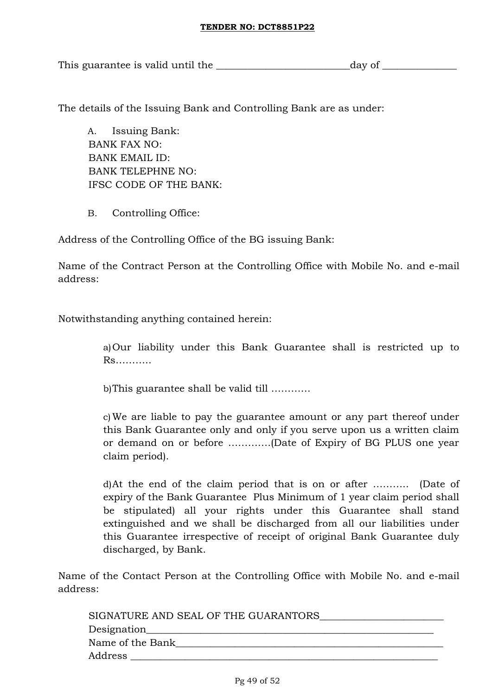This guarantee is valid until the \_\_\_\_\_\_\_\_\_\_\_\_\_\_\_\_\_\_\_\_\_\_\_\_\_\_\_day of \_\_\_\_\_\_\_\_\_\_\_\_\_\_\_

The details of the Issuing Bank and Controlling Bank are as under:

A. Issuing Bank: BANK FAX NO: BANK EMAIL ID: BANK TELEPHNE NO: IFSC CODE OF THE BANK:

B. Controlling Office:

Address of the Controlling Office of the BG issuing Bank:

Name of the Contract Person at the Controlling Office with Mobile No. and e-mail address:

Notwithstanding anything contained herein:

a)Our liability under this Bank Guarantee shall is restricted up to Rs………..

b)This guarantee shall be valid till …………

c)We are liable to pay the guarantee amount or any part thereof under this Bank Guarantee only and only if you serve upon us a written claim or demand on or before ………….(Date of Expiry of BG PLUS one year claim period).

d)At the end of the claim period that is on or after ……….. (Date of expiry of the Bank Guarantee Plus Minimum of 1 year claim period shall be stipulated) all your rights under this Guarantee shall stand extinguished and we shall be discharged from all our liabilities under this Guarantee irrespective of receipt of original Bank Guarantee duly discharged, by Bank.

Name of the Contact Person at the Controlling Office with Mobile No. and e-mail address:

| SIGNATURE AND SEAL OF THE GUARANTORS |
|--------------------------------------|
| Designation_                         |
| Name of the Bank                     |
| Address                              |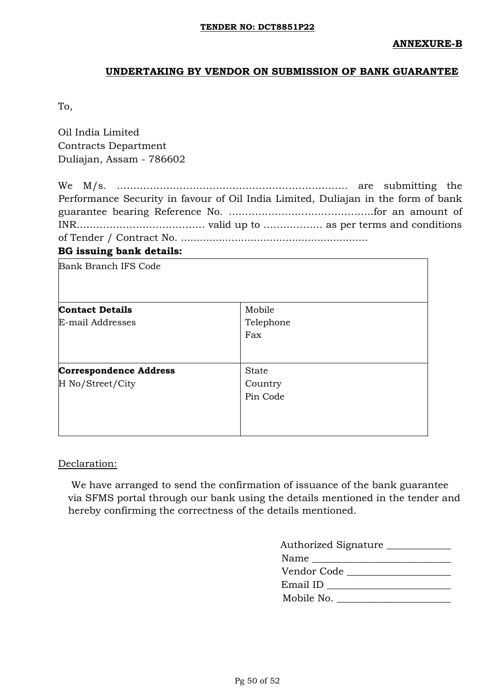# **UNDERTAKING BY VENDOR ON SUBMISSION OF BANK GUARANTEE**

To,

Oil India Limited Contracts Department Duliajan, Assam - 786602

| <b>BG</b> issuing bank details:                                                   |  |  |
|-----------------------------------------------------------------------------------|--|--|
|                                                                                   |  |  |
|                                                                                   |  |  |
|                                                                                   |  |  |
| Performance Security in favour of Oil India Limited, Duliajan in the form of bank |  |  |
|                                                                                   |  |  |

| <b>Bank Branch IFS Code</b>                       |                                     |
|---------------------------------------------------|-------------------------------------|
| <b>Contact Details</b>                            | Mobile                              |
| E-mail Addresses                                  | Telephone<br>Fax                    |
| <b>Correspondence Address</b><br>H No/Street/City | <b>State</b><br>Country<br>Pin Code |

## Declaration:

We have arranged to send the confirmation of issuance of the bank guarantee via SFMS portal through our bank using the details mentioned in the tender and hereby confirming the correctness of the details mentioned.

| Authorized Signature                                |
|-----------------------------------------------------|
| Name<br><u> 1989 - Jan Samuel Barbara, martin a</u> |
| Vendor Code                                         |
| Email ID                                            |
| Mobile No.                                          |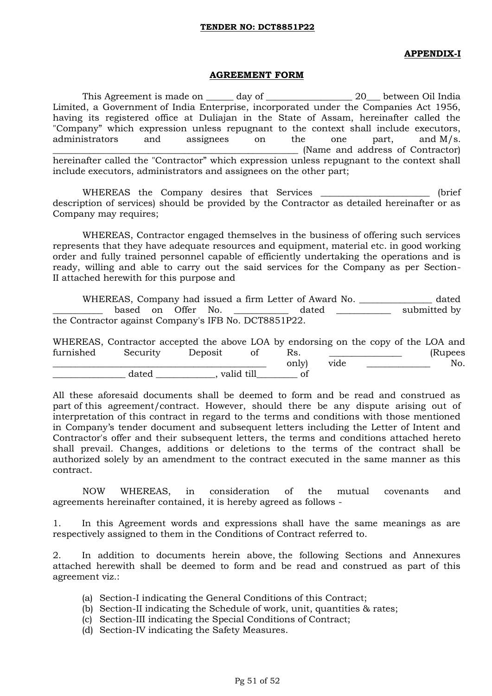#### **APPENDIX-I**

#### **AGREEMENT FORM**

This Agreement is made on \_\_\_\_\_\_ day of \_\_\_\_\_\_\_\_\_\_\_\_\_\_\_\_\_\_\_\_ 20\_\_\_ between Oil India Limited, a Government of India Enterprise, incorporated under the Companies Act 1956, having its registered office at Duliajan in the State of Assam, hereinafter called the "Company" which expression unless repugnant to the context shall include executors, administrators and assignees on the one part, and M/s. (Name and address of Contractor) hereinafter called the "Contractor" which expression unless repugnant to the context shall include executors, administrators and assignees on the other part;

WHEREAS the Company desires that Services \_\_\_\_\_\_\_\_\_\_\_\_\_\_\_\_\_\_\_\_\_\_\_\_ (brief description of services) should be provided by the Contractor as detailed hereinafter or as Company may requires;

WHEREAS, Contractor engaged themselves in the business of offering such services represents that they have adequate resources and equipment, material etc. in good working order and fully trained personnel capable of efficiently undertaking the operations and is ready, willing and able to carry out the said services for the Company as per Section-II attached herewith for this purpose and

WHEREAS, Company had issued a firm Letter of Award No. \_\_\_\_\_\_\_\_\_\_\_\_\_\_\_\_ dated based on Offer No. \_\_\_\_\_\_\_\_\_\_\_ dated \_\_\_\_\_\_\_\_\_\_ submitted by the Contractor against Company's IFB No. DCT8851P22.

|           |          | WHEREAS, Contractor accepted the above LOA by endorsing on the copy of the LOA and |    |       |      |  |          |
|-----------|----------|------------------------------------------------------------------------------------|----|-------|------|--|----------|
| furnished | Security | Deposit                                                                            | ΟÌ | ĸs.   |      |  | (Rupees) |
|           |          |                                                                                    |    | only) | vide |  | No.      |
|           | dated    | valid till                                                                         |    |       |      |  |          |

All these aforesaid documents shall be deemed to form and be read and construed as part of this agreement/contract. However, should there be any dispute arising out of interpretation of this contract in regard to the terms and conditions with those mentioned in Company"s tender document and subsequent letters including the Letter of Intent and Contractor's offer and their subsequent letters, the terms and conditions attached hereto shall prevail. Changes, additions or deletions to the terms of the contract shall be authorized solely by an amendment to the contract executed in the same manner as this contract.

NOW WHEREAS, in consideration of the mutual covenants and agreements hereinafter contained, it is hereby agreed as follows -

1. In this Agreement words and expressions shall have the same meanings as are respectively assigned to them in the Conditions of Contract referred to.

2. In addition to documents herein above, the following Sections and Annexures attached herewith shall be deemed to form and be read and construed as part of this agreement viz.:

- (a) Section-I indicating the General Conditions of this Contract;
- (b) Section-II indicating the Schedule of work, unit, quantities & rates;
- (c) Section-III indicating the Special Conditions of Contract;
- (d) Section-IV indicating the Safety Measures.